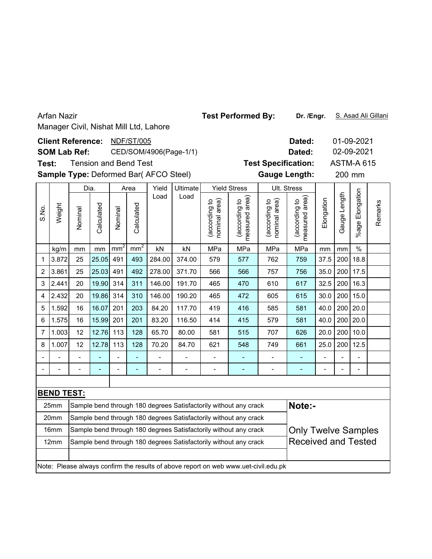|             | <b>Arfan Nazir</b>                                                                                                          |                          |                              |         |                               |                                        |                              |                                | <b>Test Performed By:</b>                                                           |                                | Dr. /Engr.                      |            |              |                   | S. Asad Ali Gillani |
|-------------|-----------------------------------------------------------------------------------------------------------------------------|--------------------------|------------------------------|---------|-------------------------------|----------------------------------------|------------------------------|--------------------------------|-------------------------------------------------------------------------------------|--------------------------------|---------------------------------|------------|--------------|-------------------|---------------------|
|             |                                                                                                                             |                          |                              |         |                               | Manager Civil, Nishat Mill Ltd, Lahore |                              |                                |                                                                                     |                                |                                 |            |              |                   |                     |
|             |                                                                                                                             | <b>Client Reference:</b> |                              |         | <b>NDF/ST/005</b>             |                                        |                              |                                |                                                                                     |                                | Dated:                          |            |              | 01-09-2021        |                     |
|             |                                                                                                                             | <b>SOM Lab Ref:</b>      |                              |         |                               |                                        | CED/SOM/4906(Page-1/1)       |                                |                                                                                     |                                | Dated:                          |            |              | 02-09-2021        |                     |
| Test:       |                                                                                                                             |                          | <b>Tension and Bend Test</b> |         |                               |                                        |                              |                                |                                                                                     |                                | <b>Test Specification:</b>      |            |              | <b>ASTM-A 615</b> |                     |
|             |                                                                                                                             |                          |                              |         |                               | Sample Type: Deformed Bar( AFCO Steel) |                              |                                |                                                                                     |                                | <b>Gauge Length:</b>            |            |              | 200 mm            |                     |
|             |                                                                                                                             |                          | Dia.                         |         | Area                          | Yield                                  | <b>Ultimate</b>              |                                | <b>Yield Stress</b>                                                                 |                                | Ult. Stress                     |            |              |                   |                     |
| S.No.       | Weight                                                                                                                      | Nominal                  | Calculated                   | Nominal | Calculated<br>mm <sup>2</sup> | Load                                   | Load                         | (according to<br>nominal area) | (according to<br>neasured area)<br>measured                                         | nominal area)<br>(according to | measured area)<br>(according to | Elongation | Gauge Length | %age Elongation   | Remarks             |
|             | kg/m                                                                                                                        | mm                       | mm                           | MPa     | mm                            | mm                                     | $\frac{0}{0}$                |                                |                                                                                     |                                |                                 |            |              |                   |                     |
| $\mathbf 1$ | 3.872                                                                                                                       | 25                       | 25.05 491                    | 759     | 37.5                          | 200                                    | 18.8                         |                                |                                                                                     |                                |                                 |            |              |                   |                     |
| 2           | 493<br>284.00<br>374.00<br>579<br>577<br>762<br>492<br>278.00<br>371.70<br>3.861<br>25<br>25.03<br>491<br>566<br>566<br>757 |                          |                              |         |                               |                                        |                              |                                |                                                                                     |                                |                                 |            | 200          | 17.5              |                     |
| 3           | 2.441                                                                                                                       | 20                       | 19.90                        | 314     | 311                           | 146.00                                 | 191.70                       | 465                            | 470                                                                                 | 610                            | 617                             | 32.5       | 200          | 16.3              |                     |
| 4           | 2.432                                                                                                                       | 20                       | 19.86 314                    |         | 310                           | 146.00                                 | 190.20                       | 465                            | 472                                                                                 | 605                            | 615                             | 30.0       | 200          | 15.0              |                     |
| 5           | 1.592                                                                                                                       | 16                       | 16.07                        | 201     | 203                           | 84.20                                  | 117.70                       | 419                            | 416                                                                                 | 585                            | 581                             | 40.0       | 200          | 20.0              |                     |
| 6           | 1.575                                                                                                                       | 16                       | 15.99                        | 201     | 201                           | 83.20                                  | 116.50                       | 414                            | 415                                                                                 | 579                            | 581                             | 40.0       | 200          | 20.0              |                     |
| 7           | 1.003                                                                                                                       | 12                       | 12.76                        | 113     | 128                           | 65.70                                  | 80.00                        | 581                            | 515                                                                                 | 707                            | 626                             | 20.0       | 200          | 10.0              |                     |
| 8           | 1.007                                                                                                                       | 12                       | 12.78                        | 113     | 128                           | 70.20                                  | 84.70                        | 621                            | 548                                                                                 | 749                            | 661                             | 25.0       | 200          | 12.5              |                     |
|             |                                                                                                                             |                          |                              |         |                               |                                        |                              |                                |                                                                                     |                                |                                 |            |              |                   |                     |
|             |                                                                                                                             | $\overline{a}$           |                              |         |                               | $\overline{\phantom{0}}$               | $\qquad \qquad \blacksquare$ | $\overline{\phantom{a}}$       |                                                                                     | $\qquad \qquad \blacksquare$   | ÷,                              |            |              | $\blacksquare$    |                     |
|             |                                                                                                                             |                          |                              |         |                               |                                        |                              |                                |                                                                                     |                                |                                 |            |              |                   |                     |
|             | <b>BEND TEST:</b>                                                                                                           |                          |                              |         |                               |                                        |                              |                                |                                                                                     |                                |                                 |            |              |                   |                     |
|             | 25mm                                                                                                                        |                          |                              |         |                               |                                        |                              |                                | Sample bend through 180 degrees Satisfactorily without any crack                    |                                | Note:-                          |            |              |                   |                     |
|             | 20mm                                                                                                                        |                          |                              |         |                               |                                        |                              |                                | Sample bend through 180 degrees Satisfactorily without any crack                    |                                |                                 |            |              |                   |                     |
|             | 16mm                                                                                                                        |                          |                              |         |                               |                                        |                              |                                | Sample bend through 180 degrees Satisfactorily without any crack                    |                                | <b>Only Twelve Samples</b>      |            |              |                   |                     |
|             | 12mm                                                                                                                        |                          |                              |         |                               |                                        |                              |                                | Sample bend through 180 degrees Satisfactorily without any crack                    |                                | <b>Received and Tested</b>      |            |              |                   |                     |
|             |                                                                                                                             |                          |                              |         |                               |                                        |                              |                                | Note: Please always confirm the results of above report on web www.uet-civil.edu.pk |                                |                                 |            |              |                   |                     |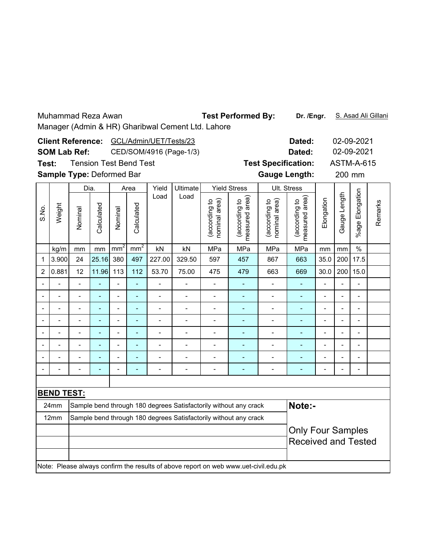Test Performed By: **Dr. /Engr.** S. Asad Ali Gillani

|       |                   | <b>Client Reference:</b>  |                | Dated:          |                               |                              | 02-09-2021               |                                |                                                                                     |                                |                                 |                          |                |                          |         |
|-------|-------------------|---------------------------|----------------|-----------------|-------------------------------|------------------------------|--------------------------|--------------------------------|-------------------------------------------------------------------------------------|--------------------------------|---------------------------------|--------------------------|----------------|--------------------------|---------|
|       |                   | <b>SOM Lab Ref:</b>       |                |                 | CED/SOM/4916 (Page-1/3)       |                              | Dated:                   |                                |                                                                                     | 02-09-2021                     |                                 |                          |                |                          |         |
| Test: |                   |                           |                |                 | <b>Tension Test Bend Test</b> |                              |                          |                                |                                                                                     | <b>Test Specification:</b>     |                                 |                          |                | <b>ASTM-A-615</b>        |         |
|       |                   | Sample Type: Deformed Bar |                |                 |                               |                              |                          |                                |                                                                                     | <b>Gauge Length:</b>           |                                 |                          | 200 mm         |                          |         |
|       |                   | Dia.                      |                |                 | Area                          | Yield                        | Ultimate                 |                                | <b>Yield Stress</b>                                                                 |                                | Ult. Stress                     |                          |                |                          |         |
| S.No. | Weight            | Nominal                   | Calculated     | Nominal         | Calculated                    | Load                         | Load                     | (according to<br>nominal area) | measured area)<br>(according to                                                     | nominal area)<br>(according to | measured area)<br>(according to | Elongation               | Gauge Length   | Elongation<br>%age I     | Remarks |
|       | kg/m              | mm                        | mm             | mm <sup>2</sup> | mm <sup>2</sup>               | kN                           | kN                       | MPa                            | MPa                                                                                 | MPa                            | MPa                             | mm                       | mm             | $\%$                     |         |
| 1     | 3.900             | 24                        | 25.16          | 380             | 497                           | 227.00                       | 329.50                   | 597                            | 457                                                                                 | 867                            | 663                             | 35.0                     | 200            | 17.5                     |         |
| 2     | 0.881             | 12                        | 11.96          | 113             | 112                           | 53.70                        | 75.00                    | 475                            | 479                                                                                 | 663                            | 669                             | 30.0                     | 200            | 15.0                     |         |
|       |                   | $\overline{a}$            |                |                 | ä,                            | $\overline{a}$               |                          | $\blacksquare$                 |                                                                                     | $\overline{a}$                 |                                 | $\overline{a}$           |                | L,                       |         |
|       |                   | $\overline{a}$            |                | $\overline{a}$  | L,                            | $\frac{1}{2}$                | $\overline{\phantom{0}}$ | ٠                              | ÷,                                                                                  | -                              | ÷,                              | $\overline{a}$           | $\blacksquare$ | $\overline{a}$           |         |
|       | $\overline{a}$    | $\overline{a}$            | $\overline{a}$ | $\blacksquare$  | $\blacksquare$                | $\qquad \qquad \blacksquare$ | $\overline{a}$           | $\qquad \qquad \blacksquare$   | $\overline{\phantom{a}}$                                                            | $\qquad \qquad \blacksquare$   | ۰                               | $\overline{\phantom{0}}$ |                | $\overline{\phantom{a}}$ |         |
|       |                   | $\overline{a}$            |                | $\overline{a}$  | $\blacksquare$                | $\overline{a}$               | $\overline{a}$           | $\overline{a}$                 | ÷,                                                                                  | $\overline{a}$                 | ÷,                              | $\blacksquare$           |                | $\overline{a}$           |         |
|       |                   |                           |                |                 | L,                            | $\overline{a}$               | $\overline{a}$           | $\overline{\phantom{a}}$       | ä,                                                                                  | $\overline{a}$                 | L,                              |                          |                | $\overline{\phantom{a}}$ |         |
|       |                   | L.                        |                | $\overline{a}$  | ä,                            | $\overline{a}$               |                          | $\blacksquare$                 |                                                                                     | $\overline{a}$                 | L,                              | $\overline{a}$           |                | $\overline{a}$           |         |
|       | $\overline{a}$    | $\overline{\phantom{0}}$  |                | $\overline{a}$  | L,                            | $\overline{a}$               | $\overline{a}$           | $\overline{\phantom{0}}$       | ÷,                                                                                  | $\overline{a}$                 | ÷,                              | $\overline{a}$           | L,             | $\frac{1}{2}$            |         |
|       |                   |                           |                |                 |                               |                              |                          |                                |                                                                                     |                                |                                 |                          |                |                          |         |
|       |                   |                           |                |                 |                               |                              |                          |                                |                                                                                     |                                |                                 |                          |                |                          |         |
|       | <b>BEND TEST:</b> |                           |                |                 |                               |                              |                          |                                |                                                                                     |                                |                                 |                          |                |                          |         |
|       | 24mm              |                           |                |                 |                               |                              |                          |                                | Sample bend through 180 degrees Satisfactorily without any crack                    |                                | Note:-                          |                          |                |                          |         |
|       | 12mm              |                           |                |                 |                               |                              |                          |                                | Sample bend through 180 degrees Satisfactorily without any crack                    |                                |                                 |                          |                |                          |         |
|       |                   |                           |                |                 |                               |                              |                          |                                |                                                                                     |                                | <b>Only Four Samples</b>        |                          |                |                          |         |
|       |                   |                           |                |                 |                               |                              |                          |                                |                                                                                     |                                | <b>Received and Tested</b>      |                          |                |                          |         |
|       |                   |                           |                |                 |                               |                              |                          |                                | Note: Please always confirm the results of above report on web www.uet-civil.edu.pk |                                |                                 |                          |                |                          |         |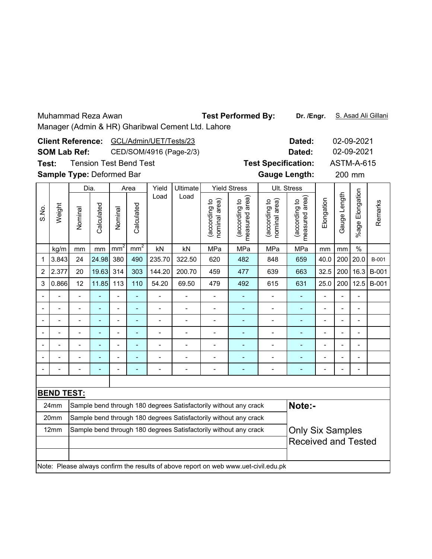Test Performed By: **Dr. /Engr.** S. Asad Ali Gillani

| <b>Client Reference:</b><br>GCL/Admin/UET/Tests/23<br>CED/SOM/4916 (Page-2/3)<br><b>SOM Lab Ref:</b> |                                                                                         |                           |                |                |                               |                          |                |                                |                                                                                     |                                | Dated:                          |                |                          | 02-09-2021               |              |
|------------------------------------------------------------------------------------------------------|-----------------------------------------------------------------------------------------|---------------------------|----------------|----------------|-------------------------------|--------------------------|----------------|--------------------------------|-------------------------------------------------------------------------------------|--------------------------------|---------------------------------|----------------|--------------------------|--------------------------|--------------|
|                                                                                                      |                                                                                         |                           |                |                |                               |                          |                |                                |                                                                                     |                                | Dated:                          |                |                          | 02-09-2021               |              |
| Test:                                                                                                |                                                                                         |                           |                |                | <b>Tension Test Bend Test</b> |                          |                |                                |                                                                                     | <b>Test Specification:</b>     |                                 |                |                          | <b>ASTM-A-615</b>        |              |
|                                                                                                      |                                                                                         | Sample Type: Deformed Bar |                |                |                               |                          |                |                                |                                                                                     | <b>Gauge Length:</b>           |                                 |                |                          | 200 mm                   |              |
|                                                                                                      |                                                                                         | Dia.                      |                |                | Area                          | Yield                    | Ultimate       |                                | <b>Yield Stress</b>                                                                 |                                | Ult. Stress                     |                |                          |                          |              |
| S.No.                                                                                                | Weight                                                                                  | Nominal                   | Calculated     | Nominal        | Calculated                    | Load                     | Load           | (according to<br>nominal area) | area)<br>(according to<br>measured                                                  | nominal area)<br>(according to | measured area)<br>(according to | Elongation     | Gauge Length             | Elongation<br>%age I     | Remarks      |
|                                                                                                      | mm <sup>2</sup><br>mm <sup>2</sup><br>MPa<br>MPa<br>MPa<br>kN<br>kN<br>kg/m<br>mm<br>mm |                           |                |                |                               |                          |                |                                |                                                                                     |                                |                                 | mm             | mm                       | $\%$                     |              |
| 1                                                                                                    | 3.843                                                                                   | 848                       | 659            | 40.0           | 200                           | 20.0                     | B-001          |                                |                                                                                     |                                |                                 |                |                          |                          |              |
| 2                                                                                                    | 2.377                                                                                   | 20                        | 19.63          | 314            | 303                           | 144.20                   | 200.70         | 459                            | 477                                                                                 | 639                            | 663                             | 32.5           | 200                      | 16.3                     | B-001        |
| 3                                                                                                    | 0.866                                                                                   | 12                        | 11.85          | 113            | 110                           | 54.20                    | 69.50          | 479                            | 492                                                                                 | 615                            | 631                             | 25.0           | 200                      | 12.5                     | <b>B-001</b> |
|                                                                                                      |                                                                                         | $\overline{a}$            |                |                | L,                            | $\overline{a}$           |                | $\frac{1}{2}$                  |                                                                                     | $\overline{\phantom{0}}$       |                                 | $\overline{a}$ |                          | $\overline{a}$           |              |
|                                                                                                      | $\overline{a}$                                                                          | L.                        | $\overline{a}$ | $\overline{a}$ | $\blacksquare$                | $\overline{\phantom{0}}$ | $\blacksquare$ | $\qquad \qquad \blacksquare$   | $\qquad \qquad \blacksquare$                                                        | $\qquad \qquad \blacksquare$   | ÷,                              | $\overline{a}$ |                          | $\overline{\phantom{0}}$ |              |
|                                                                                                      |                                                                                         |                           |                | $\blacksquare$ | ۳                             | $\blacksquare$           | $\blacksquare$ |                                |                                                                                     | -                              | ÷                               | $\blacksquare$ |                          | $\overline{a}$           |              |
|                                                                                                      |                                                                                         |                           |                |                | L                             | $\overline{a}$           |                | $\overline{a}$                 |                                                                                     | $\overline{a}$                 |                                 |                |                          | $\overline{a}$           |              |
|                                                                                                      | $\overline{a}$                                                                          |                           |                | $\overline{a}$ | ÷,                            | $\overline{a}$           |                | $\overline{a}$                 |                                                                                     | $\overline{a}$                 | ÷,                              | $\overline{a}$ |                          | $\overline{a}$           |              |
|                                                                                                      | $\overline{a}$                                                                          | $\overline{a}$            |                | $\overline{a}$ | ÷,                            | $\overline{a}$           | $\overline{a}$ | $\blacksquare$                 | ÷,                                                                                  | $\overline{a}$                 | ÷                               | $\blacksquare$ | $\overline{\phantom{a}}$ | $\blacksquare$           |              |
|                                                                                                      |                                                                                         |                           |                |                |                               |                          |                |                                |                                                                                     |                                |                                 |                |                          |                          |              |
|                                                                                                      |                                                                                         |                           |                |                |                               |                          |                |                                |                                                                                     |                                |                                 |                |                          |                          |              |
|                                                                                                      | <b>BEND TEST:</b>                                                                       |                           |                |                |                               |                          |                |                                |                                                                                     |                                |                                 |                |                          |                          |              |
|                                                                                                      | 24mm                                                                                    |                           |                |                |                               |                          |                |                                | Sample bend through 180 degrees Satisfactorily without any crack                    |                                | Note:-                          |                |                          |                          |              |
|                                                                                                      | 20mm                                                                                    |                           |                |                |                               |                          |                |                                | Sample bend through 180 degrees Satisfactorily without any crack                    |                                |                                 |                |                          |                          |              |
|                                                                                                      | 12mm                                                                                    |                           |                |                |                               |                          |                |                                | Sample bend through 180 degrees Satisfactorily without any crack                    |                                | <b>Only Six Samples</b>         |                |                          |                          |              |
|                                                                                                      |                                                                                         |                           |                |                |                               |                          |                |                                |                                                                                     |                                | <b>Received and Tested</b>      |                |                          |                          |              |
|                                                                                                      |                                                                                         |                           |                |                |                               |                          |                |                                | Note: Please always confirm the results of above report on web www.uet-civil.edu.pk |                                |                                 |                |                          |                          |              |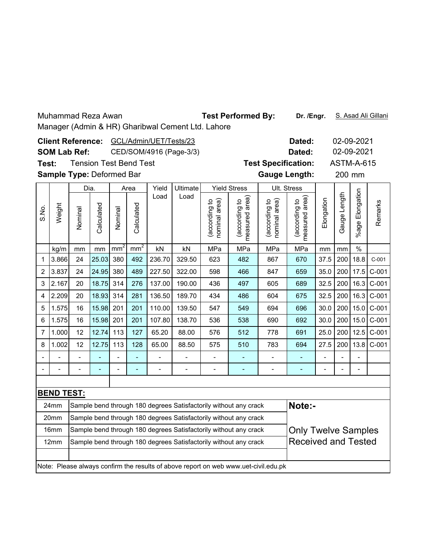Test Performed By: **Dr. /Engr.** S. Asad Ali Gillani

|                |                                                                                         | <b>Client Reference:</b>  |            |         |                               | GCL/Admin/UET/Tests/23   |                          |                                   |                                                                                     |                                | Dated:                             |                |              | 02-09-2021            |         |
|----------------|-----------------------------------------------------------------------------------------|---------------------------|------------|---------|-------------------------------|--------------------------|--------------------------|-----------------------------------|-------------------------------------------------------------------------------------|--------------------------------|------------------------------------|----------------|--------------|-----------------------|---------|
|                |                                                                                         | <b>SOM Lab Ref:</b>       |            |         |                               |                          | CED/SOM/4916 (Page-3/3)  |                                   |                                                                                     |                                | Dated:                             |                |              | 02-09-2021            |         |
| Test:          |                                                                                         |                           |            |         | <b>Tension Test Bend Test</b> |                          |                          |                                   |                                                                                     | <b>Test Specification:</b>     |                                    |                |              | <b>ASTM-A-615</b>     |         |
|                |                                                                                         | Sample Type: Deformed Bar |            |         |                               |                          |                          |                                   |                                                                                     | <b>Gauge Length:</b>           |                                    |                |              | 200 mm                |         |
|                |                                                                                         |                           | Dia.       |         | Area                          | Yield                    | Ultimate                 |                                   | <b>Yield Stress</b>                                                                 |                                | Ult. Stress                        |                |              |                       |         |
| S.No.          | Weight                                                                                  | Nominal                   | Calculated | Nominal | Calculated                    | Load                     | Load                     | (according to<br>area)<br>nominal | area)<br>(according to<br>measured                                                  | nominal area)<br>(according to | area)<br>(according to<br>measured | Elongation     | Gauge Length | Elongation<br>$%$ age | Remarks |
|                | mm <sup>2</sup><br>mm <sup>2</sup><br>MPa<br>MPa<br>MPa<br>kN<br>kN<br>kg/m<br>mm<br>mm |                           |            |         |                               |                          |                          |                                   |                                                                                     |                                |                                    | mm             | mm           | $\%$                  |         |
| 1              | 3.866<br>25.03<br>380<br>492<br>236.70<br>329.50<br>24<br>623<br>482<br>867             |                           |            |         |                               |                          |                          |                                   |                                                                                     |                                |                                    |                | 200          | 18.8                  | $C-001$ |
| 2              | 670<br>3.837<br>24.95<br>380<br>489<br>227.50<br>322.00<br>24<br>598<br>466<br>847      |                           |            |         |                               |                          |                          |                                   |                                                                                     |                                |                                    |                |              | 17.5                  | $C-001$ |
| 3              | 2.167                                                                                   | 20                        | 18.75      | 314     | 276                           | 137.00                   | 190.00                   | 436                               | 497                                                                                 | 605                            | 689                                | 32.5           | 200          | 16.3                  | $C-001$ |
| 4              | 2.209                                                                                   | 20                        | 18.93      | 314     | 281                           | 136.50                   | 189.70                   | 434                               | 486                                                                                 | 604                            | 675                                | 32.5           | 200          | 16.3                  | $C-001$ |
| 5              | 1.575                                                                                   | 16                        | 15.98      | 201     | 201                           | 110.00                   | 139.50                   | 547                               | 549                                                                                 | 694                            | 696                                | 30.0           | 200          | 15.0                  | $C-001$ |
| 6              | 1.575                                                                                   | 16                        | 15.98      | 201     | 201                           | 107.80                   | 138.70                   | 536                               | 538                                                                                 | 690                            | 692                                | 30.0           | 200          | 15.0                  | $C-001$ |
| $\overline{7}$ | 1.000                                                                                   | 12                        | 12.74      | 113     | 127                           | 65.20                    | 88.00                    | 576                               | 512                                                                                 | 778                            | 691                                | 25.0           | 200          | 12.5                  | $C-001$ |
| 8              | 1.002                                                                                   | 12                        | 12.75      | 113     | 128                           | 65.00                    | 88.50                    | 575                               | 510                                                                                 | 783                            | 694                                | 27.5           | 200          | 13.8                  | $C-001$ |
|                |                                                                                         |                           |            |         | L,                            | $\overline{\phantom{0}}$ | $\overline{\phantom{0}}$ | $\frac{1}{2}$                     | $\blacksquare$                                                                      | $\overline{\phantom{0}}$       | ä,                                 | $\overline{a}$ |              | $\overline{a}$        |         |
|                |                                                                                         |                           |            | -       | -                             |                          | $\overline{a}$           | $\overline{a}$                    | $\overline{a}$                                                                      | -                              | $\overline{a}$                     | $\blacksquare$ |              | $\blacksquare$        |         |
|                |                                                                                         |                           |            |         |                               |                          |                          |                                   |                                                                                     |                                |                                    |                |              |                       |         |
|                | <b>BEND TEST:</b>                                                                       |                           |            |         |                               |                          |                          |                                   |                                                                                     |                                |                                    |                |              |                       |         |
|                | 24mm                                                                                    |                           |            |         |                               |                          |                          |                                   | Sample bend through 180 degrees Satisfactorily without any crack                    |                                | Note:-                             |                |              |                       |         |
|                | 20mm                                                                                    |                           |            |         |                               |                          |                          |                                   | Sample bend through 180 degrees Satisfactorily without any crack                    |                                |                                    |                |              |                       |         |
|                | 16mm                                                                                    |                           |            |         |                               |                          |                          |                                   | Sample bend through 180 degrees Satisfactorily without any crack                    |                                | <b>Only Twelve Samples</b>         |                |              |                       |         |
|                | 12mm                                                                                    |                           |            |         |                               |                          |                          |                                   | Sample bend through 180 degrees Satisfactorily without any crack                    |                                | <b>Received and Tested</b>         |                |              |                       |         |
|                |                                                                                         |                           |            |         |                               |                          |                          |                                   | Note: Please always confirm the results of above report on web www.uet-civil.edu.pk |                                |                                    |                |              |                       |         |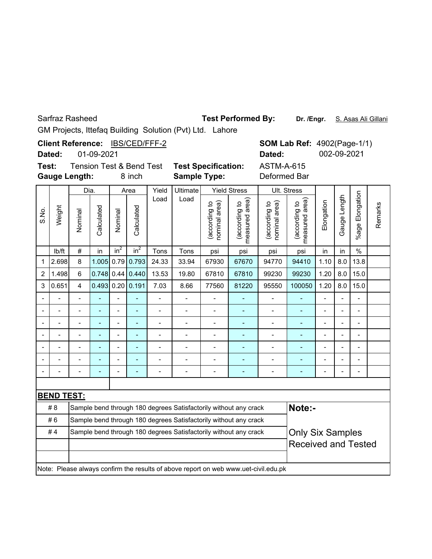Sarfraz Rasheed

### **Test Performed By:**

Dr. /Engr. S. Asas Ali Gillani

**SOM Lab Ref: 4902(Page-1/1)** 

**Dated:** 002-09-2021

GM Projects, Ittefaq Building Solution (Pvt) Ltd. Lahore

**Client Reference:** IBS/CED/FFF-2

01-09-2021 **Dated:**

**Test: Gauge Length:**

8 inch **Sample Type:** Deformed Bar Tension Test & Bend Test **Test Specification:**

ASTM-A-615

|                |                   | Dia.           |                |                 | Area         | Yield          | <b>Ultimate</b> |                                | <b>Yield Stress</b>                                                                 |                                | Ult. Stress                     |                |                          |                          |         |
|----------------|-------------------|----------------|----------------|-----------------|--------------|----------------|-----------------|--------------------------------|-------------------------------------------------------------------------------------|--------------------------------|---------------------------------|----------------|--------------------------|--------------------------|---------|
| S.No.          | Weight            | Nominal        | Calculated     | Nominal         | Calculated   | Load           | Load            | nominal area)<br>(according to | measured area<br>(according to                                                      | nominal area)<br>(according to | measured area)<br>(according to | Elongation     | Gauge Length             | %age Elongation          | Remarks |
|                | lb/ft             | $\#$           | in             | in <sup>2</sup> | $in^2$       | Tons           | Tons            | psi                            | psi                                                                                 | psi                            | psi                             | in             | in                       | $\frac{0}{0}$            |         |
| 1              | 2.698             | 8              | 1.005          | 0.79            | 0.793        | 24.33          | 33.94           | 67930                          | 67670                                                                               | 94770                          | 94410                           | 1.10           | 8.0                      | 13.8                     |         |
| $\overline{2}$ | 1.498             | $6\phantom{1}$ | 0.748          | 0.44            | 0.440        | 13.53          | 19.80           | 67810                          | 67810                                                                               | 99230                          | 99230                           | 1.20           | 8.0                      | 15.0                     |         |
| 3              | 0.651             | 4              | 0.493          |                 | 0.20   0.191 | 7.03           | 8.66            | 77560                          | 81220                                                                               | 95550                          | 100050                          | 1.20           | 8.0                      | 15.0                     |         |
|                |                   |                |                |                 |              |                |                 |                                |                                                                                     |                                |                                 |                |                          |                          |         |
|                |                   |                |                | $\overline{a}$  | ۳            |                |                 |                                |                                                                                     |                                |                                 |                | $\overline{a}$           | $\overline{a}$           |         |
|                |                   |                |                | $\overline{a}$  |              |                |                 |                                |                                                                                     | $\overline{a}$                 |                                 | -              | $\overline{\phantom{a}}$ | $\blacksquare$           |         |
|                |                   |                | $\overline{a}$ | $\blacksquare$  | ÷            | $\blacksquare$ |                 | $\overline{a}$                 | $\overline{a}$                                                                      |                                |                                 | -              | $\overline{\phantom{a}}$ | $\blacksquare$           |         |
|                |                   |                |                | $\blacksquare$  | L,           | $\overline{a}$ |                 | ÷,                             |                                                                                     |                                |                                 | $\blacksquare$ | $\overline{a}$           | $\blacksquare$           |         |
|                |                   |                |                | $\overline{a}$  | L,           | $\overline{a}$ |                 | Ĭ.                             | ٠                                                                                   |                                | $\overline{\phantom{a}}$        | $\blacksquare$ | $\blacksquare$           | $\overline{\phantom{0}}$ |         |
|                |                   |                |                | $\overline{a}$  | ÷            |                |                 | ÷,                             | ÷                                                                                   |                                |                                 |                | $\overline{\phantom{a}}$ | $\overline{\phantom{0}}$ |         |
|                |                   |                |                |                 |              |                |                 |                                |                                                                                     |                                |                                 |                |                          |                          |         |
|                | <b>BEND TEST:</b> |                |                |                 |              |                |                 |                                |                                                                                     |                                |                                 |                |                          |                          |         |
|                | #8                |                |                |                 |              |                |                 |                                | Sample bend through 180 degrees Satisfactorily without any crack                    |                                | Note:-                          |                |                          |                          |         |
|                | #6                |                |                |                 |              |                |                 |                                | Sample bend through 180 degrees Satisfactorily without any crack                    |                                |                                 |                |                          |                          |         |
|                | #4                |                |                |                 |              |                |                 |                                | Sample bend through 180 degrees Satisfactorily without any crack                    |                                | <b>Only Six Samples</b>         |                |                          |                          |         |
|                |                   |                |                |                 |              |                |                 |                                |                                                                                     |                                | <b>Received and Tested</b>      |                |                          |                          |         |
|                |                   |                |                |                 |              |                |                 |                                |                                                                                     |                                |                                 |                |                          |                          |         |
|                |                   |                |                |                 |              |                |                 |                                | Note: Please always confirm the results of above report on web www.uet-civil.edu.pk |                                |                                 |                |                          |                          |         |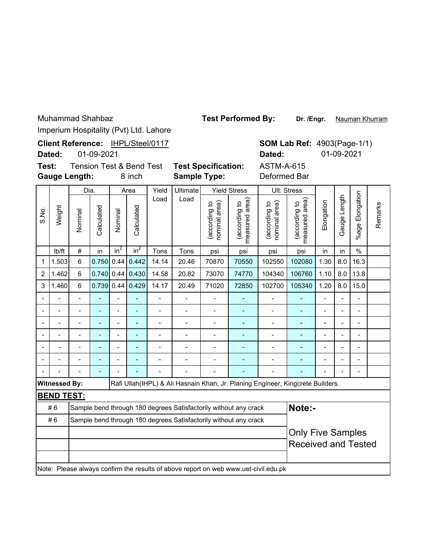Muhammad Shahbaz

Test Performed By: Dr. /Engr. Nauman Khurram

Imperium Hospitality (Pyt) Ltd. Lahore

|                          |                      |                          |                |                |                                               | Imperium riospitality (1 vt) Ltd. Lariore |                                                                  |                                |                                 |                                                                                     |                                    |                          |                |                 |         |
|--------------------------|----------------------|--------------------------|----------------|----------------|-----------------------------------------------|-------------------------------------------|------------------------------------------------------------------|--------------------------------|---------------------------------|-------------------------------------------------------------------------------------|------------------------------------|--------------------------|----------------|-----------------|---------|
|                          | Dated:               |                          | 01-09-2021     |                |                                               | Client Reference: IHPL/Steel/0117         |                                                                  |                                |                                 | Dated:                                                                              | <b>SOM Lab Ref: 4903(Page-1/1)</b> |                          | 01-09-2021     |                 |         |
| Test:                    |                      | <b>Gauge Length:</b>     |                |                | <b>Tension Test &amp; Bend Test</b><br>8 inch |                                           | <b>Test Specification:</b><br><b>Sample Type:</b>                |                                |                                 | <b>ASTM-A-615</b><br>Deformed Bar                                                   |                                    |                          |                |                 |         |
|                          |                      | Dia.                     |                |                | Area                                          | Yield                                     | Ultimate                                                         |                                | <b>Yield Stress</b>             |                                                                                     | Ult. Stress                        |                          |                |                 |         |
| S.No.                    | Weight               | Nominal                  | Calculated     | Nominal        | Calculated                                    | Load                                      | Load                                                             | (according to<br>nominal area) | measured area)<br>(according to | nominal area)<br>(according to                                                      | area)<br>(according to<br>measured | Elongation               | Gauge Length   | %age Elongation | Remarks |
|                          | lb/ft                | #                        | in             | $in^2$         | $in^2$                                        | psi                                       | psi                                                              | in                             | in                              | $\frac{0}{0}$                                                                       |                                    |                          |                |                 |         |
| $\mathbf 1$              | 1.503                | 6                        | 0.750          | 0.44           | 0.442                                         | 14.14                                     | 20.46                                                            | 70870                          | 70550                           | 102550                                                                              | 102080                             | 1.30                     | 8.0            | 16.3            |         |
| $\overline{2}$           | 1.462                | 6                        | 0.740          | 0.44           | 0.430                                         | 14.58                                     | 20.82                                                            | 73070                          | 74770                           | 104340                                                                              | 106760                             | 1.10                     | 8.0            | 13.8            |         |
| 3                        | 1.460                | 6                        | 0.739          | 0.44           | 0.429                                         | 14.17                                     | 20.49                                                            | 71020                          | 72850                           | 102700                                                                              | 105340                             | 1.20                     | 8.0            | 15.0            |         |
| $\overline{\phantom{a}}$ |                      | L.                       |                |                |                                               | $\blacksquare$                            | $\overline{a}$                                                   | $\overline{a}$                 |                                 | $\overline{\phantom{0}}$                                                            | Ξ                                  | $\overline{\phantom{0}}$ |                | $\overline{a}$  |         |
| $\blacksquare$           |                      | $\overline{a}$           | L,             | $\overline{a}$ | L,                                            | $\overline{a}$                            | L,                                                               | L,                             | Ē,                              | $\overline{a}$                                                                      |                                    | $\overline{\phantom{a}}$ |                | $\overline{a}$  |         |
|                          | ÷                    | $\overline{\phantom{0}}$ | ÷,             | $\blacksquare$ | $\overline{a}$                                | $\overline{a}$                            | ÷,                                                               | ÷                              |                                 | $\overline{\phantom{0}}$                                                            | ٠                                  | $\overline{\phantom{a}}$ | $\overline{a}$ | $\overline{a}$  |         |
|                          |                      |                          |                |                |                                               |                                           |                                                                  |                                | $\overline{a}$                  |                                                                                     |                                    |                          |                | $\overline{a}$  |         |
| $\blacksquare$           | $\overline{a}$       | $\overline{a}$           | ÷,             | $\blacksquare$ | $\blacksquare$                                | $\overline{a}$                            | L,                                                               | Ĭ.                             | Ē,                              | $\overline{a}$                                                                      | ÷,                                 | $\overline{\phantom{0}}$ |                | $\overline{a}$  |         |
|                          |                      |                          |                |                |                                               |                                           |                                                                  |                                |                                 |                                                                                     |                                    |                          |                |                 |         |
|                          |                      |                          | $\overline{a}$ |                |                                               |                                           |                                                                  |                                |                                 |                                                                                     |                                    |                          |                | $\overline{a}$  |         |
|                          | <b>Witnessed By:</b> |                          |                |                |                                               |                                           |                                                                  |                                |                                 | Rafi Ullah(IHPL) & Ali Hasnain Khan, Jr. Planing Engineer, Kingcrete Builders.      |                                    |                          |                |                 |         |
|                          | <b>BEND TEST:</b>    |                          |                |                |                                               |                                           |                                                                  |                                |                                 |                                                                                     |                                    |                          |                |                 |         |
|                          | #6                   |                          |                |                |                                               |                                           | Sample bend through 180 degrees Satisfactorily without any crack |                                |                                 |                                                                                     | Note:-                             |                          |                |                 |         |
|                          | #6                   |                          |                |                |                                               |                                           | Sample bend through 180 degrees Satisfactorily without any crack |                                |                                 |                                                                                     |                                    |                          |                |                 |         |
|                          |                      |                          |                |                |                                               |                                           |                                                                  |                                |                                 |                                                                                     | <b>Only Five Samples</b>           |                          |                |                 |         |
|                          |                      |                          |                |                |                                               |                                           |                                                                  |                                |                                 |                                                                                     | <b>Received and Tested</b>         |                          |                |                 |         |
|                          |                      |                          |                |                |                                               |                                           |                                                                  |                                |                                 | Note: Please always confirm the results of above report on web www.uet-civil.edu.pk |                                    |                          |                |                 |         |
|                          |                      |                          |                |                |                                               |                                           |                                                                  |                                |                                 |                                                                                     |                                    |                          |                |                 |         |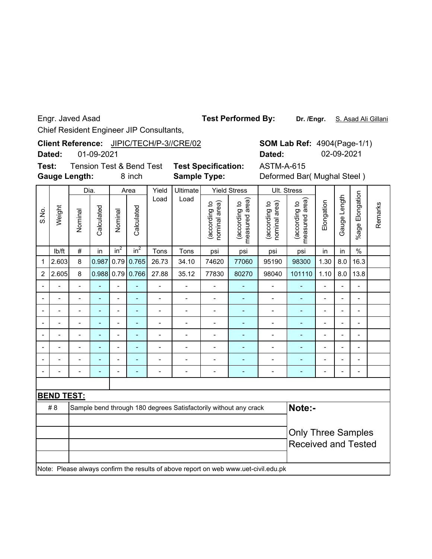Engr. Javed Asad

**Test Performed By:**

**Dr. /Engr.** S. Asad Ali Gillani

Chief Resident Engineer JIP Consultants,

| Client Reference: JIPIC/TECH/P-3//CRE/02 |
|------------------------------------------|
|                                          |

**Dated:** 01-09-2021

**Gauge Length: Test:**

**Sample Type:** Tension Test & Bend Test **Test Specification:** ASTM-A-615

8 inch **Sample Type:** Deformed Bar( Mughal Steel )

**Dated:** 02-09-2021

4904(Page-1/1) **SOM Lab Ref:**

|       |                          | Dia.                     |                |                              | Area         | Yield          | Ultimate                 |                                | <b>Yield Stress</b>                                                                 |                                | Ult. Stress                    |                |                          |                          |         |
|-------|--------------------------|--------------------------|----------------|------------------------------|--------------|----------------|--------------------------|--------------------------------|-------------------------------------------------------------------------------------|--------------------------------|--------------------------------|----------------|--------------------------|--------------------------|---------|
| S.No. | Weight                   | Nominal                  | Calculated     | Nominal                      | Calculated   | Load           | Load                     | nominal area)<br>(according to | measured area<br>(according to                                                      | nominal area)<br>(according to | measured area<br>(according to | Elongation     | Gauge Length             | %age Elongation          | Remarks |
|       | Ib/ft                    | $\#$                     | in             | in <sup>2</sup>              | $in^2$       | Tons           | Tons                     | psi                            | psi                                                                                 | psi                            | psi                            | in             | in                       | $\%$                     |         |
| 1     | 2.603                    | 8                        | 0.987          |                              | $0.79$ 0.765 | 26.73          | 34.10                    | 74620                          | 77060                                                                               | 95190                          | 98300                          | 1.30           | 8.0                      | 16.3                     |         |
| 2     | 2.605                    | 8                        | 0.988          |                              | $0.79$ 0.766 | 27.88          | 35.12                    | 77830                          | 80270                                                                               | 98040                          | 101110                         | 1.10           | 8.0                      | 13.8                     |         |
|       |                          | $\overline{a}$           | ä,             | $\overline{a}$               | L,           | $\overline{a}$ | $\overline{a}$           |                                |                                                                                     |                                |                                | $\overline{a}$ | $\overline{a}$           | $\blacksquare$           |         |
|       | $\overline{\phantom{0}}$ | $\overline{\phantom{0}}$ | ٠              | $\overline{a}$               | ä,           | $\blacksquare$ | $\overline{a}$           | $\overline{a}$                 | Ē,                                                                                  | $\overline{a}$                 | $\qquad \qquad \blacksquare$   | Ĭ.             | $\overline{\phantom{a}}$ | $\blacksquare$           |         |
|       |                          | $\overline{a}$           | $\overline{a}$ |                              | L.           | $\blacksquare$ | $\blacksquare$           | $\blacksquare$                 |                                                                                     | $\overline{a}$                 | ÷                              |                |                          | $\overline{\phantom{0}}$ |         |
|       |                          |                          |                |                              | ۳            |                | $\overline{\phantom{a}}$ | $\overline{a}$                 |                                                                                     | $\blacksquare$                 | ۳                              |                | $\overline{a}$           | ÷.                       |         |
|       |                          | $\blacksquare$           | ÷              | $\overline{\phantom{a}}$     | ۳            |                |                          | $\blacksquare$                 |                                                                                     |                                |                                |                | $\blacksquare$           | $\blacksquare$           |         |
|       |                          |                          |                |                              |              |                |                          | ۰                              |                                                                                     |                                |                                |                |                          | $\overline{a}$           |         |
|       |                          |                          | $\overline{a}$ | $\blacksquare$               |              |                |                          |                                |                                                                                     |                                |                                |                | $\overline{\phantom{a}}$ |                          |         |
|       |                          |                          | ÷              | $\qquad \qquad \blacksquare$ |              | $\blacksquare$ |                          | ÷                              | ÷                                                                                   | -                              | ÷                              | ٠              | $\blacksquare$           | $\overline{\phantom{0}}$ |         |
|       |                          |                          |                |                              |              |                |                          |                                |                                                                                     |                                |                                |                |                          |                          |         |
|       | <b>BEND TEST:</b>        |                          |                |                              |              |                |                          |                                |                                                                                     |                                |                                |                |                          |                          |         |
|       | #8                       |                          |                |                              |              |                |                          |                                | Sample bend through 180 degrees Satisfactorily without any crack                    |                                | Note:-                         |                |                          |                          |         |
|       |                          |                          |                |                              |              |                |                          |                                |                                                                                     |                                |                                |                |                          |                          |         |
|       |                          |                          |                |                              |              |                |                          |                                |                                                                                     |                                | <b>Only Three Samples</b>      |                |                          |                          |         |
|       |                          |                          |                |                              |              |                |                          |                                |                                                                                     |                                | <b>Received and Tested</b>     |                |                          |                          |         |
|       |                          |                          |                |                              |              |                |                          |                                |                                                                                     |                                |                                |                |                          |                          |         |
|       |                          |                          |                |                              |              |                |                          |                                | Note: Please always confirm the results of above report on web www.uet-civil.edu.pk |                                |                                |                |                          |                          |         |
|       |                          |                          |                |                              |              |                |                          |                                |                                                                                     |                                |                                |                |                          |                          |         |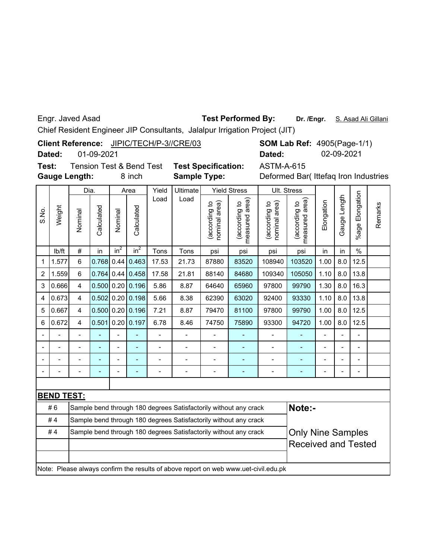Engr. Javed Asad

### **Test Performed By:**

Chief Resident Engineer JIP Consultants, Jalalpur Irrigation Project (JIT)

Client Reference: JIPIC/TECH/P-3//CRE/03

**Dated:** 01-09-2021

**Gauge Length: Test:** Tension Test & Bend Test **Test Specification:** ASTM-A-615

**Sample Type:**

8 inch **Sample Type:** Deformed Bar( Ittefaq Iron Industries

**SOM Lab Ref: 4905(Page-1/1)** 

**Dated:** 02-09-2021

|       |                   | Dia.                    |                |                | Area       | Yield | Ultimate |                               | <b>Yield Stress</b>                                                                 |                                | Ult. Stress                        |                |                  |                          |         |
|-------|-------------------|-------------------------|----------------|----------------|------------|-------|----------|-------------------------------|-------------------------------------------------------------------------------------|--------------------------------|------------------------------------|----------------|------------------|--------------------------|---------|
| S.No. | Weight            | Nominal                 | Calculated     | Nominal        | Calculated | Load  | Load     | nominal area)<br>according to | measured area<br>(according to                                                      | nominal area)<br>(according to | area)<br>(according to<br>measured | Elongation     | auge Length<br>Ő | %age Elongation          | Remarks |
|       | Ib/ft             | #                       | in             | $in^2$         | $in^2$     | Tons  | Tons     | psi                           | psi                                                                                 | psi                            | psi                                | in             | in               | $\%$                     |         |
| 1     | 1.577             | 6                       | 0.768          | 0.44           | 0.463      | 17.53 | 21.73    | 87880                         | 83520                                                                               | 108940                         | 103520                             | 1.00           | 8.0              | 12.5                     |         |
| 2     | 1.559             | 6                       | 0.764          | 0.44           | 0.458      | 17.58 | 21.81    | 88140                         | 84680                                                                               | 109340                         | 105050                             | 1.10           | 8.0              | 13.8                     |         |
| 3     | 0.666             | $\overline{4}$          | 0.500          | 0.20           | 0.196      | 5.86  | 8.87     | 64640                         | 65960                                                                               | 97800                          | 99790                              | 1.30           | 8.0              | 16.3                     |         |
| 4     | 0.673             | $\overline{\mathbf{4}}$ | 0.502          | 0.20           | 0.198      | 5.66  | 8.38     | 62390                         | 63020                                                                               | 92400                          | 93330                              | 1.10           | 8.0              | 13.8                     |         |
| 5     | 0.667             | $\overline{4}$          | 0.500          | 0.20           | 0.196      | 7.21  | 8.87     | 79470                         | 81100                                                                               | 97800                          | 99790                              | 1.00           | 8.0              | 12.5                     |         |
| 6     | 0.672             | $\overline{\mathbf{4}}$ | 0.501          | 0.20           | 0.197      | 6.78  | 8.46     | 74750                         | 75890                                                                               | 93300                          | 94720                              | 1.00           | 8.0              | 12.5                     |         |
|       |                   |                         |                |                |            |       |          |                               |                                                                                     |                                |                                    |                |                  | $\overline{a}$           |         |
|       |                   |                         |                |                |            |       |          |                               |                                                                                     |                                |                                    |                |                  | $\overline{\phantom{0}}$ |         |
|       |                   |                         | $\overline{a}$ | $\blacksquare$ |            |       |          |                               |                                                                                     |                                |                                    |                | $\blacksquare$   | $\overline{\phantom{0}}$ |         |
|       |                   |                         | ÷              | $\blacksquare$ |            |       |          |                               | ÷                                                                                   | $\qquad \qquad \blacksquare$   | ÷                                  | $\blacksquare$ | ÷                | $\overline{\phantom{0}}$ |         |
|       |                   |                         |                |                |            |       |          |                               |                                                                                     |                                |                                    |                |                  |                          |         |
|       | <b>BEND TEST:</b> |                         |                |                |            |       |          |                               |                                                                                     |                                |                                    |                |                  |                          |         |
|       | #6                |                         |                |                |            |       |          |                               | Sample bend through 180 degrees Satisfactorily without any crack                    |                                | Note:-                             |                |                  |                          |         |
|       | #4                |                         |                |                |            |       |          |                               | Sample bend through 180 degrees Satisfactorily without any crack                    |                                |                                    |                |                  |                          |         |
|       | #4                |                         |                |                |            |       |          |                               | Sample bend through 180 degrees Satisfactorily without any crack                    |                                | <b>Only Nine Samples</b>           |                |                  |                          |         |
|       |                   |                         |                |                |            |       |          |                               |                                                                                     |                                | <b>Received and Tested</b>         |                |                  |                          |         |
|       |                   |                         |                |                |            |       |          |                               |                                                                                     |                                |                                    |                |                  |                          |         |
|       |                   |                         |                |                |            |       |          |                               | Note: Please always confirm the results of above report on web www.uet-civil.edu.pk |                                |                                    |                |                  |                          |         |
|       |                   |                         |                |                |            |       |          |                               |                                                                                     |                                |                                    |                |                  |                          |         |

**Dr. /Engr.** S. Asad Ali Gillani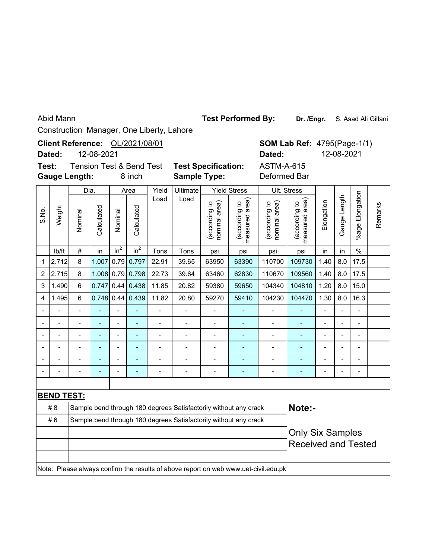Abid Mann

Test Performed By: Dr. /Engr. S. Asad Ali Gillani

Construction Manager, One Liberty, Lahore

| Test:                   | Dated:            | <b>Gauge Length:</b>     | 12-08-2021  |                | Client Reference: OL/2021/08/01<br><b>Tension Test &amp; Bend Test</b><br>8 inch |                          | <b>Test Specification:</b><br><b>Sample Type:</b>                |                                       |                                                               | Dated:<br><b>ASTM-A-615</b><br>Deformed Bar                                         | <b>SOM Lab Ref: 4795(Page-1/1)</b>                    |                | 12-08-2021     |                           |         |
|-------------------------|-------------------|--------------------------|-------------|----------------|----------------------------------------------------------------------------------|--------------------------|------------------------------------------------------------------|---------------------------------------|---------------------------------------------------------------|-------------------------------------------------------------------------------------|-------------------------------------------------------|----------------|----------------|---------------------------|---------|
| S.No.                   | Weight            | Dia.<br>Nominal          | Calculated  | Nominal        | Area<br>Calculated                                                               | Yield<br>Load<br>Tons    | Ultimate<br>Load<br>Tons                                         | (according to<br>nominal area)<br>psi | <b>Yield Stress</b><br>(according to<br>measured area)<br>psi | Ult. Stress<br>(according to<br>nominal area)                                       | measured area)<br>(according to                       | Elongation     | Gauge Length   | Elongation<br>$%$ age $ $ | Remarks |
| $\mathbf 1$             | Ib/ft<br>2.712    | $\#$<br>8                | in<br>1.007 | $in^2$         | in <sup>2</sup><br>$0.79$ 0.797                                                  | psi<br>110700            | psi<br>109730                                                    | in<br>1.40                            | in<br>8.0                                                     | $\frac{1}{2}$<br>17.5                                                               |                                                       |                |                |                           |         |
| $\overline{c}$          | 2.715             | 8                        | 1.008       | 0.79           | 0.798                                                                            | 110670                   | 109560                                                           | 1.40                                  | 8.0                                                           | 17.5                                                                                |                                                       |                |                |                           |         |
| 3                       | 1.490             | 6                        | 0.747       | 0.44           | 0.438                                                                            | 22.73<br>11.85           | 39.64<br>20.82                                                   | 63460<br>59380                        | 62830<br>59650                                                | 104340                                                                              | 104810                                                | 1.20           | 8.0            | 15.0                      |         |
| $\overline{\mathbf{4}}$ | 1.495             | 6                        | 0.748       |                | $0.44 \mid 0.439$                                                                | 11.82                    | 20.80                                                            | 59270                                 | 59410                                                         | 104230                                                                              | 104470                                                | 1.30           | 8.0            | 16.3                      |         |
| $\blacksquare$          | $\blacksquare$    | $\overline{\phantom{0}}$ | ä,          | $\overline{a}$ | $\blacksquare$                                                                   | $\overline{a}$           | $\overline{a}$                                                   | $\overline{a}$                        | $\blacksquare$                                                | $\overline{a}$                                                                      | Ξ                                                     | $\overline{a}$ | $\overline{a}$ | $\frac{1}{2}$             |         |
|                         |                   |                          |             | $\overline{a}$ |                                                                                  |                          |                                                                  | $\overline{a}$                        |                                                               |                                                                                     |                                                       | $\overline{a}$ |                | L,                        |         |
|                         | Ĭ.                | L.                       | L           | $\overline{a}$ | L,                                                                               | $\overline{\phantom{0}}$ | $\overline{a}$                                                   | $\overline{a}$                        | ÷,                                                            | $\overline{\phantom{0}}$                                                            | ÷,                                                    | $\overline{a}$ |                | $\overline{a}$            |         |
|                         |                   |                          |             |                |                                                                                  |                          |                                                                  | $\overline{a}$                        | ÷,                                                            |                                                                                     | ÷,                                                    |                |                | L,                        |         |
|                         |                   |                          |             |                |                                                                                  |                          |                                                                  | $\overline{a}$                        |                                                               |                                                                                     |                                                       |                |                |                           |         |
|                         |                   | $\overline{a}$           |             | $\overline{a}$ |                                                                                  |                          |                                                                  | $\overline{a}$                        | L,                                                            |                                                                                     |                                                       |                |                | L,                        |         |
|                         |                   |                          |             |                |                                                                                  |                          |                                                                  |                                       |                                                               |                                                                                     |                                                       |                |                |                           |         |
|                         | <b>BEND TEST:</b> |                          |             |                |                                                                                  |                          |                                                                  |                                       |                                                               |                                                                                     |                                                       |                |                |                           |         |
|                         | #8                |                          |             |                |                                                                                  |                          | Sample bend through 180 degrees Satisfactorily without any crack |                                       |                                                               |                                                                                     | Note:-                                                |                |                |                           |         |
|                         | #6                |                          |             |                |                                                                                  |                          | Sample bend through 180 degrees Satisfactorily without any crack |                                       |                                                               |                                                                                     |                                                       |                |                |                           |         |
|                         |                   |                          |             |                |                                                                                  |                          |                                                                  |                                       |                                                               |                                                                                     | <b>Only Six Samples</b><br><b>Received and Tested</b> |                |                |                           |         |
|                         |                   |                          |             |                |                                                                                  |                          |                                                                  |                                       |                                                               | Note: Please always confirm the results of above report on web www.uet-civil.edu.pk |                                                       |                |                |                           |         |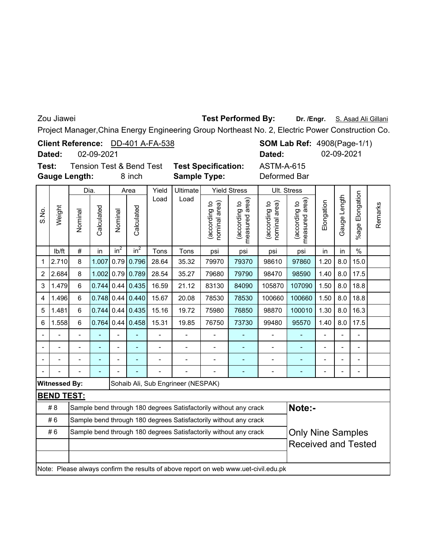Zou Jiawei

## **Test Performed By:**

Dr. /Engr. S. Asad Ali Gillani

┑

Project Manager,China Energy Engineering Group Northeast No. 2, Electric Power Construction Co.

**SOM Lab Ref: 4908(Page-1/1)** ASTM-A-615 **Client Reference:** DD-401 A-FA-538 02-09-2021 **Test:** Tension Test & Bend Test **Test Specification: Dated:** 02-09-2021 **Dated:**

**Gauge Length:**

8 inch **Sample Type:** Deformed Bar

|       |                      | Dia.           |              |                | Area               | Yield          | Ultimate                           |                               | <b>Yield Stress</b>                                                                 |                                | Ult. Stress                    |                          |                          |                          |         |
|-------|----------------------|----------------|--------------|----------------|--------------------|----------------|------------------------------------|-------------------------------|-------------------------------------------------------------------------------------|--------------------------------|--------------------------------|--------------------------|--------------------------|--------------------------|---------|
| S.No. | Weight               | Nominal        | Calculated   | Nominal        | Calculated         | Load           | Load                               | according to<br>nominal area) | area)<br>(according to<br>measured                                                  | (according to<br>nominal area) | measured area<br>(according to | Elongation               | Gauge Length             | %age Elongation          | Remarks |
|       | Ib/ft                | $\#$           | in           | $in^2$         | $in^2$             | Tons           | Tons                               | psi                           | psi                                                                                 | psi                            | psi                            | in                       | in                       | $\%$                     |         |
| 1     | 2.710                | 8              | 1.007        | 0.79           | 0.796              | 28.64          | 35.32                              | 79970                         | 79370                                                                               | 98610                          | 97860                          | 1.20                     | 8.0                      | 15.0                     |         |
| 2     | 2.684                | 8              | 1.002        | 0.79           | 0.789              | 28.54          | 35.27                              | 79680                         | 79790                                                                               | 98470                          | 98590                          | 1.40                     | 8.0                      | 17.5                     |         |
| 3     | 1.479                | 6              | $0.744$ 0.44 |                | 0.435              | 16.59          | 21.12                              | 83130                         | 84090                                                                               | 105870                         | 107090                         | 1.50                     | 8.0                      | 18.8                     |         |
| 4     | 1.496                | 6              | $0.748$ 0.44 |                | 0.440              | 15.67          | 20.08                              | 78530                         | 78530                                                                               | 100660                         | 100660                         | 1.50                     | 8.0                      | 18.8                     |         |
| 5     | 1.481                | 6              | $0.744$ 0.44 |                | 0.435              | 15.16          | 19.72                              | 75980                         | 76850                                                                               | 98870                          | 100010                         | 1.30                     | 8.0                      | 16.3                     |         |
| 6     | 1.558                | 6              |              |                | $0.764$ 0.44 0.458 | 15.31          | 19.85                              | 76750                         | 73730                                                                               | 99480                          | 95570                          | 1.40                     | 8.0                      | 17.5                     |         |
|       |                      |                |              | $\overline{a}$ |                    |                |                                    |                               |                                                                                     |                                |                                | $\blacksquare$           | $\blacksquare$           | $\overline{\phantom{0}}$ |         |
|       |                      | $\blacksquare$ | ÷            | $\overline{a}$ | $\blacksquare$     | $\overline{a}$ | $\blacksquare$                     | $\blacksquare$                | $\blacksquare$                                                                      | $\overline{\phantom{m}}$       | ٠                              | $\overline{\phantom{a}}$ | $\overline{\phantom{a}}$ | $\overline{\phantom{m}}$ |         |
|       |                      |                | ÷            | $\overline{a}$ | $\blacksquare$     | $\overline{a}$ |                                    | $\overline{a}$                | ٠                                                                                   | $\overline{\phantom{0}}$       | ۰                              | $\overline{\phantom{a}}$ | L,                       | $\overline{a}$           |         |
|       |                      |                |              |                |                    |                |                                    |                               |                                                                                     | $\overline{\phantom{0}}$       |                                |                          | ÷                        | $\overline{a}$           |         |
|       | <b>Witnessed By:</b> |                |              |                |                    |                | Sohaib Ali, Sub Engrineer (NESPAK) |                               |                                                                                     |                                |                                |                          |                          |                          |         |
|       | <b>BEND TEST:</b>    |                |              |                |                    |                |                                    |                               |                                                                                     |                                |                                |                          |                          |                          |         |
|       | #8                   |                |              |                |                    |                |                                    |                               | Sample bend through 180 degrees Satisfactorily without any crack                    |                                | Note:-                         |                          |                          |                          |         |
|       | #6                   |                |              |                |                    |                |                                    |                               | Sample bend through 180 degrees Satisfactorily without any crack                    |                                |                                |                          |                          |                          |         |
|       | #6                   |                |              |                |                    |                |                                    |                               | Sample bend through 180 degrees Satisfactorily without any crack                    |                                | <b>Only Nine Samples</b>       |                          |                          |                          |         |
|       |                      |                |              |                |                    |                |                                    |                               |                                                                                     |                                | <b>Received and Tested</b>     |                          |                          |                          |         |
|       |                      |                |              |                |                    |                |                                    |                               |                                                                                     |                                |                                |                          |                          |                          |         |
|       |                      |                |              |                |                    |                |                                    |                               | Note: Please always confirm the results of above report on web www.uet-civil.edu.pk |                                |                                |                          |                          |                          |         |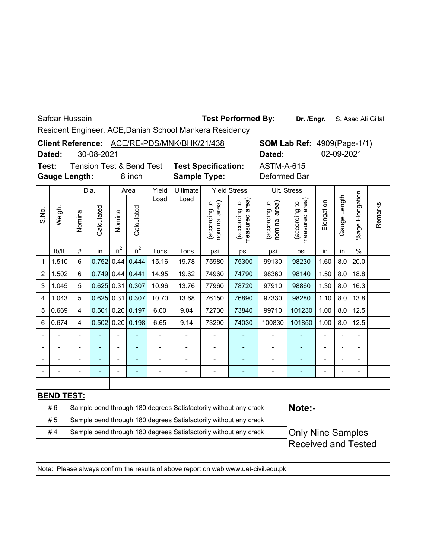Safdar Hussain

Test Performed By: Dr. /Engr. S. Asad Ali Gillali

Resident Engineer, ACE,Danish School Mankera Residency

|       |                                                                                                                                                                                                  |                      |            |                |                                     |                          | Resident Engineer, AGE,Danish School Mankera Residency           |                                |                                 |                                                                                     |                                 |                          |                |                      |         |
|-------|--------------------------------------------------------------------------------------------------------------------------------------------------------------------------------------------------|----------------------|------------|----------------|-------------------------------------|--------------------------|------------------------------------------------------------------|--------------------------------|---------------------------------|-------------------------------------------------------------------------------------|---------------------------------|--------------------------|----------------|----------------------|---------|
|       | Client Reference: ACE/RE-PDS/MNK/BHK/21/438<br><b>SOM Lab Ref: 4909(Page-1/1)</b><br>30-08-2021<br>02-09-2021<br>Dated:<br>Dated:                                                                |                      |            |                |                                     |                          |                                                                  |                                |                                 |                                                                                     |                                 |                          |                |                      |         |
|       |                                                                                                                                                                                                  |                      |            |                |                                     |                          |                                                                  |                                |                                 |                                                                                     |                                 |                          |                |                      |         |
| Test: |                                                                                                                                                                                                  |                      |            |                | <b>Tension Test &amp; Bend Test</b> |                          | <b>Test Specification:</b>                                       |                                |                                 | <b>ASTM-A-615</b>                                                                   |                                 |                          |                |                      |         |
|       |                                                                                                                                                                                                  | <b>Gauge Length:</b> |            |                | 8 inch                              |                          | <b>Sample Type:</b>                                              |                                |                                 | Deformed Bar                                                                        |                                 |                          |                |                      |         |
|       |                                                                                                                                                                                                  | Dia.                 |            |                | Area                                | Yield                    | Ultimate                                                         |                                | <b>Yield Stress</b>             |                                                                                     | Ult. Stress                     |                          |                |                      |         |
| S.No. | Weight                                                                                                                                                                                           | Nominal              | Calculated | Nominal        | Calculated                          | Load                     | Load                                                             | (according to<br>nominal area) | (according to<br>measured area) | (according to<br>nominal area)                                                      | (according to<br>measured area) | Elongation               | Gauge Length   | Elongation<br>%age I | Remarks |
|       | Ib/ft                                                                                                                                                                                            | $\#$                 | in         | $in^2$         | in <sup>2</sup>                     | Tons                     | Tons                                                             | psi                            | psi                             | psi                                                                                 | psi                             | in                       | in             | $\frac{0}{0}$        |         |
| 1     | 0.752<br>6<br>0.44<br>0.444<br>19.78<br>75980<br>75300<br>99130<br>98230<br>8.0<br>20.0<br>1.510<br>15.16<br>1.60<br>0.441<br>8.0<br>6<br>0.749<br>0.44<br>19.62<br>74960<br>74790<br>98140<br>2 |                      |            |                |                                     |                          |                                                                  |                                |                                 |                                                                                     |                                 |                          |                |                      |         |
|       | 1.502<br>14.95<br>98360<br>1.50<br>18.8                                                                                                                                                          |                      |            |                |                                     |                          |                                                                  |                                |                                 |                                                                                     |                                 |                          |                |                      |         |
| 3     | $0.625$ 0.31<br>0.307<br>78720<br>97910<br>98860<br>1.30<br>8.0<br>16.3<br>1.045<br>5<br>10.96<br>13.76<br>77960                                                                                 |                      |            |                |                                     |                          |                                                                  |                                |                                 |                                                                                     |                                 |                          |                |                      |         |
| 4     | 0.307<br>8.0<br>13.8<br>1.043<br>5<br>$0.625$ 0.31<br>10.70<br>13.68<br>76150<br>76890<br>97330<br>98280<br>1.10                                                                                 |                      |            |                |                                     |                          |                                                                  |                                |                                 |                                                                                     |                                 |                          |                |                      |         |
| 5     | 0.669                                                                                                                                                                                            | 4                    | 0.501      | 0.20           | 0.197                               | 6.60                     | 9.04                                                             | 72730                          | 73840                           | 99710                                                                               | 101230                          | 1.00                     | 8.0            | 12.5                 |         |
| 6     | 0.674                                                                                                                                                                                            | 4                    | 0.502      |                | $0.20$ 0.198                        | 6.65                     | 9.14                                                             | 73290                          | 74030                           | 100830                                                                              | 101850                          | 1.00                     | 8.0            | 12.5                 |         |
|       |                                                                                                                                                                                                  | $\blacksquare$       | ÷,         | $\blacksquare$ | ä,                                  | $\overline{\phantom{a}}$ | $\overline{a}$                                                   | $\overline{a}$                 | $\blacksquare$                  | $\overline{\phantom{a}}$                                                            | $\qquad \qquad \blacksquare$    | $\overline{\phantom{a}}$ | $\overline{a}$ | $\overline{a}$       |         |
|       |                                                                                                                                                                                                  | $\overline{a}$       | L,         | $\overline{a}$ | ÷                                   | $\overline{a}$           | $\overline{a}$                                                   |                                | $\overline{a}$                  | $\overline{a}$                                                                      | ÷                               | $\overline{a}$           |                | $\overline{a}$       |         |
|       |                                                                                                                                                                                                  | $\blacksquare$       |            | $\overline{a}$ | $\blacksquare$                      | -                        | $\qquad \qquad \blacksquare$                                     | $\blacksquare$                 | $\blacksquare$                  | $\qquad \qquad \blacksquare$                                                        | ۰                               | $\blacksquare$           |                | Ĭ.                   |         |
|       |                                                                                                                                                                                                  |                      |            |                |                                     |                          |                                                                  |                                |                                 | $\overline{a}$                                                                      |                                 |                          |                |                      |         |
|       |                                                                                                                                                                                                  |                      |            |                |                                     |                          |                                                                  |                                |                                 |                                                                                     |                                 |                          |                |                      |         |
|       | <b>BEND TEST:</b>                                                                                                                                                                                |                      |            |                |                                     |                          |                                                                  |                                |                                 |                                                                                     |                                 |                          |                |                      |         |
|       | #6                                                                                                                                                                                               |                      |            |                |                                     |                          | Sample bend through 180 degrees Satisfactorily without any crack |                                |                                 |                                                                                     | Note:-                          |                          |                |                      |         |
|       | #5                                                                                                                                                                                               |                      |            |                |                                     |                          | Sample bend through 180 degrees Satisfactorily without any crack |                                |                                 |                                                                                     |                                 |                          |                |                      |         |
|       | #4                                                                                                                                                                                               |                      |            |                |                                     |                          | Sample bend through 180 degrees Satisfactorily without any crack |                                |                                 |                                                                                     | <b>Only Nine Samples</b>        |                          |                |                      |         |
|       |                                                                                                                                                                                                  |                      |            |                |                                     |                          |                                                                  |                                |                                 |                                                                                     | <b>Received and Tested</b>      |                          |                |                      |         |
|       |                                                                                                                                                                                                  |                      |            |                |                                     |                          |                                                                  |                                |                                 | Note: Please always confirm the results of above report on web www.uet-civil.edu.pk |                                 |                          |                |                      |         |
|       |                                                                                                                                                                                                  |                      |            |                |                                     |                          |                                                                  |                                |                                 |                                                                                     |                                 |                          |                |                      |         |
|       |                                                                                                                                                                                                  |                      |            |                |                                     |                          |                                                                  |                                |                                 |                                                                                     |                                 |                          |                |                      |         |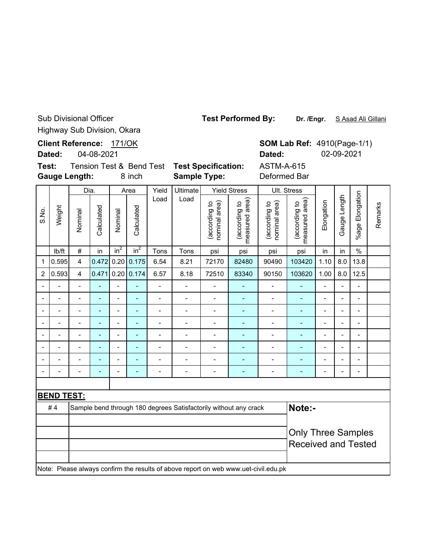Sub Divisional Officer Highway Sub Division, Okara

**Client Reference:** 171/OK

04-08-2021 **Dated:**

S.No.

**Test: Gauge Length:**

Dia.

Yield Ultimate

Load Load

Yield Stress

**SOM Lab Ref: 4910(Page-1/1) Dated:** 02-09-2021

ASTM-A-615

Ult. Stress

8 inch **Sample Type:** Deformed Bar Tension Test & Bend Test **Test Specification:**

Area

%age Elongation Gauge Length (according to<br>measured area) (according to<br>measured area) Gauge Length (according to<br>nominal area) measured area) (according to<br>nominal area) measured area) (according to (according to (according to (according to Elongation nominal area) nominal area) Weight Calculated Calculated Calculated **Calculated** Nominal Nominal lb/ft  $\mid$  #  $\mid$  in  $\mid$  in $^{2}$   $\mid$  in $^{2}$   $\mid$  Tons  $\mid$  Tons  $\mid$  psi  $\mid$  psi  $\mid$  psi  $\mid$  in  $\mid$  in  $\mid$  % 1 |0.595| 4 |0.472| 0.20| 0.175| 6.54 | 8.21 | 72170 | 82480 | 90490 |103420 | 1.10 | 8.0 | 13.8 2 |0.593| 4 |0.471|0.20|0.174| 6.57 | 8.18 | 72510 | 83340 | 90150 | 103620 | 1.00 | 8.0 | 12.5 -- - - - - - - - - - - - -- -- - - - - - - - - - - - -- -- - - - - - - - - - - - -- -- - - - - - - - - - - - -- -- - - - - - - - - - - - -- -- - - - - - - - - - - - -- -- - - - - - - - - - - - -- -- - - - - - - - - - - - --

Note: Please always confirm the results of above report on web www.uet-civil.edu.pk **Note:-** Only Three Samples Received and Tested #4 Sample bend through 180 degrees Satisfactorily without any crack **BEND TEST:**

**Test Performed By:**

Dr. /Engr. S Asad Ali Gillani

%age Elongation

Remarks

Remarks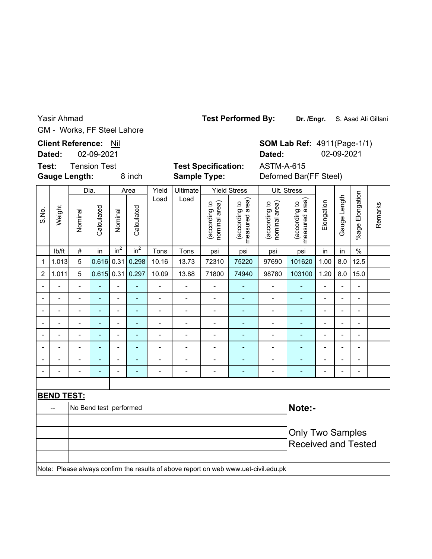GM - Works, FF Steel Lahore Yasir Ahmad

**Client Reference: Nil** 

Area

**Dated:** 02-09-2021

**Gauge Length: Test:**

Dia.

**Sample Type:**

Yield Ultimate

Yield Stress

**SOM Lab Ref: 4911(Page-1/1) Dated:** 02-09-2021

8 inch **Sample Type:** Deforned Bar(FF Steel) Tension Test **Test Specification:** ASTM-A-615

Ult. Stress

%age Elongation %age Elongation Gauge Length Load Load (according to<br>measured area) (according to<br>measured area) Gauge Length (according to<br>nominal area) measured area) (according to<br>nominal area) measured area) (according to (according to (according to (according to Elongation nominal area) nominal area) Remarks Weight Remarks Calculated Calculated S.No. Calculated Calculated Nominal Nominal lb/ft  $\mid$  #  $\mid$  in  $\mid$  in $^{2}$   $\mid$  in $^{2}$   $\mid$  Tons  $\mid$  Tons  $\mid$  psi  $\mid$  psi  $\mid$  psi  $\mid$  in  $\mid$  in  $\mid$  % 1 |1.013| 5 |0.616| 0.31| 0.298| 10.16 | 13.73 | 72310 | 75220 | 97690 | 101620 | 1.00 | 8.0 | 12.5 2 |1.011| 5 |0.615| 0.31| 0.297| 10.09 | 13.88 | 71800 | 74940 | 98780 |103100 | 1.20 | 8.0 | 15.0 -- - - - - - - - - - - - -- -- - - - - - - - - - - - -- -- - - - - - - - - - - - -- -- - - - - - - - - - - - -- -- - - - - - - - - - - - -- -- - - - - - - - - - - - -- -- - - - - - - - - - - - -- -- - - - - - - - - - - - -- **BEND TEST:** -- No Bend test performed **Note:-** Only Two Samples Received and Tested Note: Please always confirm the results of above report on web www.uet-civil.edu.pk

**Test Performed By:**

**Dr. /Engr.** S. Asad Ali Gillani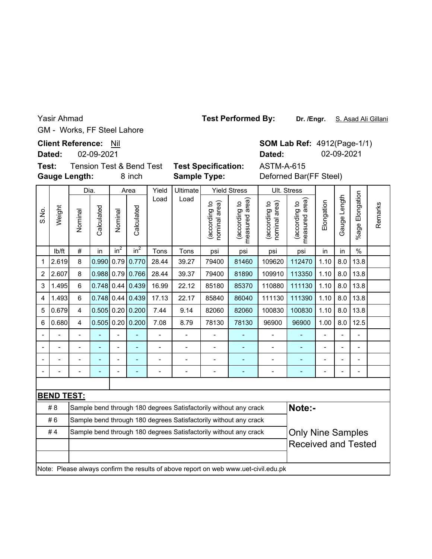GM - Works, FF Steel Lahore Yasir Ahmad

**Client Reference: Nil** 

**Dated:** 02-09-2021

**Gauge Length: Test:**

Dia.

Yield Ultimate

**Sample Type:**

Yield Stress

Ult. Stress

8 inch **Sample Type:** Deforned Bar(FF Steel) **Dated:** 02-09-2021 Tension Test & Bend Test **Test Specification:** ASTM-A-615

**SOM Lab Ref: 4912(Page-1/1)** 

| FF Steel Lahore |  |
|-----------------|--|

Area

**Test Performed By:**

|                         |                          |                         | Dia.         |                 | Area           | Yield                    | Ultimate                 |                                | Yield Stress                                                                        |                                | UIt. Stress                     |                |                |                          |         |
|-------------------------|--------------------------|-------------------------|--------------|-----------------|----------------|--------------------------|--------------------------|--------------------------------|-------------------------------------------------------------------------------------|--------------------------------|---------------------------------|----------------|----------------|--------------------------|---------|
| S.No.                   | Weight                   | Nominal                 | Calculated   | Nominal         | Calculated     | Load                     | Load                     | (according to<br>nominal area) | measured area)<br>(according to                                                     | nominal area)<br>(according to | measured area)<br>(according to | Elongation     | Gauge Length   | Elongation<br>%age       | Remarks |
|                         | lb/ft                    | $\#$                    | in           | in <sup>2</sup> | $in^2$         | Tons                     | Tons                     | psi                            | psi                                                                                 | psi                            | psi                             | in             | in             | $\frac{0}{0}$            |         |
| 1                       | 2.619                    | 8                       | 0.990        | 0.79            | 0.770          | 28.44                    | 39.27                    | 79400                          | 81460                                                                               | 109620                         | 112470                          | 1.10           | 8.0            | 13.8                     |         |
| $\overline{2}$          | 2.607                    | 8                       | 0.988        | 0.79            | 0.766          | 28.44                    | 39.37                    | 79400                          | 81890                                                                               | 109910                         | 113350                          | 1.10           | 8.0            | 13.8                     |         |
| 3                       | 1.495                    | 6                       | 0.748        | 0.44            | 0.439          | 16.99                    | 22.12                    | 85180                          | 85370                                                                               | 110880                         | 111130                          | 1.10           | 8.0            | 13.8                     |         |
| $\overline{\mathbf{4}}$ | 1.493                    | 6                       | 0.748        | 0.44            | 0.439          | 17.13                    | 22.17                    | 85840                          | 86040                                                                               | 111130                         | 111390                          | 1.10           | 8.0            | 13.8                     |         |
| 5                       | 0.679                    | $\overline{\mathbf{4}}$ | $0.505$ 0.20 |                 | 0.200          | 7.44                     | 9.14                     | 82060                          | 82060                                                                               | 100830                         | 100830                          | 1.10           | 8.0            | 13.8                     |         |
| 6                       | 0.680                    | 4                       | 0.505        | 0.20            | 0.200          | 7.08                     | 8.79                     | 78130                          | 78130                                                                               | 96900                          | 96900                           | 1.00           | 8.0            | 12.5                     |         |
|                         |                          |                         |              |                 |                | $\overline{\phantom{a}}$ | $\overline{\phantom{a}}$ | $\overline{\phantom{0}}$       | ٠                                                                                   | $\blacksquare$                 |                                 | $\frac{1}{2}$  |                |                          |         |
|                         | $\overline{\phantom{a}}$ |                         |              | $\blacksquare$  | $\blacksquare$ | $\blacksquare$           | $\blacksquare$           | $\overline{a}$                 | $\blacksquare$                                                                      | $\blacksquare$                 | $\blacksquare$                  | $\blacksquare$ | $\blacksquare$ | $\blacksquare$           |         |
|                         |                          |                         |              | $\overline{a}$  |                | $\overline{a}$           | $\overline{\phantom{0}}$ | L,                             | $\qquad \qquad \blacksquare$                                                        | $\overline{a}$                 |                                 | $\blacksquare$ |                | $\overline{\phantom{0}}$ |         |
|                         |                          |                         |              | $\blacksquare$  |                | $\overline{a}$           | $\overline{\phantom{0}}$ | $\overline{\phantom{0}}$       | $\blacksquare$                                                                      | $\overline{a}$                 |                                 |                |                |                          |         |
|                         |                          |                         |              |                 |                |                          |                          |                                |                                                                                     |                                |                                 |                |                |                          |         |
|                         | <b>BEND TEST:</b>        |                         |              |                 |                |                          |                          |                                |                                                                                     |                                |                                 |                |                |                          |         |
|                         | #8                       |                         |              |                 |                |                          |                          |                                | Sample bend through 180 degrees Satisfactorily without any crack                    |                                | Note:-                          |                |                |                          |         |
|                         | #6                       |                         |              |                 |                |                          |                          |                                | Sample bend through 180 degrees Satisfactorily without any crack                    |                                |                                 |                |                |                          |         |
|                         | #4                       |                         |              |                 |                |                          |                          |                                | Sample bend through 180 degrees Satisfactorily without any crack                    |                                | <b>Only Nine Samples</b>        |                |                |                          |         |
|                         |                          |                         |              |                 |                |                          |                          |                                |                                                                                     |                                | <b>Received and Tested</b>      |                |                |                          |         |
|                         |                          |                         |              |                 |                |                          |                          |                                |                                                                                     |                                |                                 |                |                |                          |         |
|                         |                          |                         |              |                 |                |                          |                          |                                | Note: Please always confirm the results of above report on web www.uet-civil.edu.pk |                                |                                 |                |                |                          |         |
|                         |                          |                         |              |                 |                |                          |                          |                                |                                                                                     |                                |                                 |                |                |                          |         |
|                         |                          |                         |              |                 |                |                          |                          |                                |                                                                                     |                                |                                 |                |                |                          |         |

**Dr. /Engr.** S. Asad Ali Gillani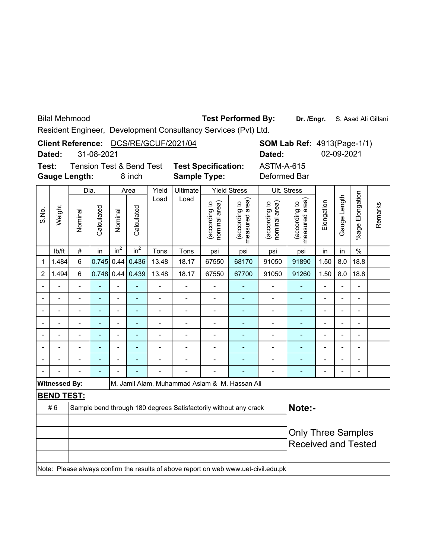Bilal Mehmood

Test Performed By: Dr. /Engr. S. Asad Ali Gillani

Resident Engineer, Development Consultancy Services (Pvt) Ltd.

|                |                      |                          |            |                              |                                     |                | Client Reference: DCS/RE/GCUF/2021/04                            |                                |                                 |                                                                                     | <b>SOM Lab Ref: 4913(Page-1/1)</b> |                |                |                      |         |
|----------------|----------------------|--------------------------|------------|------------------------------|-------------------------------------|----------------|------------------------------------------------------------------|--------------------------------|---------------------------------|-------------------------------------------------------------------------------------|------------------------------------|----------------|----------------|----------------------|---------|
|                | Dated:               |                          | 31-08-2021 |                              |                                     |                |                                                                  |                                |                                 | Dated:                                                                              |                                    |                | 02-09-2021     |                      |         |
| Test:          |                      |                          |            |                              | <b>Tension Test &amp; Bend Test</b> |                | <b>Test Specification:</b>                                       |                                |                                 | <b>ASTM-A-615</b>                                                                   |                                    |                |                |                      |         |
|                |                      | <b>Gauge Length:</b>     |            |                              | 8 inch                              |                | <b>Sample Type:</b>                                              |                                |                                 | Deformed Bar                                                                        |                                    |                |                |                      |         |
|                |                      | Dia.                     |            |                              | Area                                | Yield          | Ultimate                                                         |                                | <b>Yield Stress</b>             |                                                                                     | Ult. Stress                        |                |                |                      |         |
| S.No.          | Weight               | Nominal                  | Calculated | Nominal                      | Calculated                          | Load           | Load                                                             | (according to<br>nominal area) | (according to<br>measured area) | nominal area)<br>(according to                                                      | (according to<br>measured area)    | Elongation     | Gauge Length   | Elongation<br>%age I | Remarks |
|                | lb/ft                | $\#$                     | in         | $in^2$                       | $in^2$                              | Tons           | Tons                                                             | psi                            | psi                             | psi                                                                                 | psi                                | in             | in             | $\frac{0}{0}$        |         |
| 1              | 1.484                | 6                        | 0.745      | 0.44                         | 0.436                               | 13.48          | 18.17                                                            | 67550                          | 68170                           | 91050                                                                               | 91890                              | 1.50           | 8.0            | 18.8                 |         |
| $\overline{c}$ | 1.494                | 6                        | 0.748      | 0.44                         | 0.439                               | 13.48          | 18.17                                                            | 67550                          | 67700                           | 91050                                                                               | 91260                              | 1.50           | 8.0            | 18.8                 |         |
|                |                      | $\overline{a}$           | L,         | $\overline{a}$               |                                     | $\frac{1}{2}$  | $\overline{a}$                                                   | $\overline{a}$                 |                                 | $\overline{\phantom{0}}$                                                            | ÷,                                 | $\overline{a}$ | $\overline{a}$ | $\overline{a}$       |         |
|                |                      |                          |            | $\qquad \qquad \blacksquare$ | ÷,                                  | $\blacksquare$ | $\blacksquare$                                                   | $\overline{\phantom{m}}$       |                                 |                                                                                     |                                    |                |                |                      |         |
|                |                      |                          |            |                              | ä,                                  | $\blacksquare$ | $\overline{\phantom{0}}$                                         | $\overline{\phantom{a}}$       | $\blacksquare$                  | $\overline{\phantom{0}}$                                                            | ÷,                                 |                |                | $\overline{a}$       |         |
|                |                      | $\overline{\phantom{0}}$ |            | $\blacksquare$               | ä,                                  | -              | $\overline{\phantom{0}}$                                         | $\overline{a}$                 |                                 | $\overline{\phantom{0}}$                                                            | ÷,                                 | $\overline{a}$ | L,             | $\overline{a}$       |         |
|                |                      | $\overline{\phantom{0}}$ |            | $\blacksquare$               | L,                                  | -              | $\overline{a}$                                                   | $\overline{\phantom{0}}$       | ÷,                              | $\overline{\phantom{0}}$                                                            | ÷,                                 | $\overline{a}$ | $\overline{a}$ | $\blacksquare$       |         |
|                |                      |                          |            |                              |                                     | -              |                                                                  |                                |                                 | -                                                                                   | ۰                                  |                |                |                      |         |
|                |                      | $\overline{a}$           | ÷          |                              | $\overline{\phantom{a}}$            | $\overline{a}$ | $\overline{a}$                                                   | $\blacksquare$                 | ÷                               | $\overline{\phantom{0}}$                                                            | ÷                                  | $\overline{a}$ |                | $\overline{a}$       |         |
|                |                      |                          |            |                              |                                     |                | $\overline{a}$                                                   | $\overline{a}$                 |                                 | $\overline{a}$                                                                      | ÷,                                 |                |                |                      |         |
|                | <b>Witnessed By:</b> |                          |            |                              |                                     |                | M. Jamil Alam, Muhammad Aslam & M. Hassan Ali                    |                                |                                 |                                                                                     |                                    |                |                |                      |         |
|                | <b>BEND TEST:</b>    |                          |            |                              |                                     |                |                                                                  |                                |                                 |                                                                                     |                                    |                |                |                      |         |
|                | #6                   |                          |            |                              |                                     |                | Sample bend through 180 degrees Satisfactorily without any crack |                                |                                 |                                                                                     | Note:-                             |                |                |                      |         |
|                |                      |                          |            |                              |                                     |                |                                                                  |                                |                                 |                                                                                     |                                    |                |                |                      |         |
|                |                      |                          |            |                              |                                     |                |                                                                  |                                |                                 |                                                                                     | <b>Only Three Samples</b>          |                |                |                      |         |
|                |                      |                          |            |                              |                                     |                |                                                                  |                                |                                 |                                                                                     | <b>Received and Tested</b>         |                |                |                      |         |
|                |                      |                          |            |                              |                                     |                |                                                                  |                                |                                 | Note: Please always confirm the results of above report on web www.uet-civil.edu.pk |                                    |                |                |                      |         |
|                |                      |                          |            |                              |                                     |                |                                                                  |                                |                                 |                                                                                     |                                    |                |                |                      |         |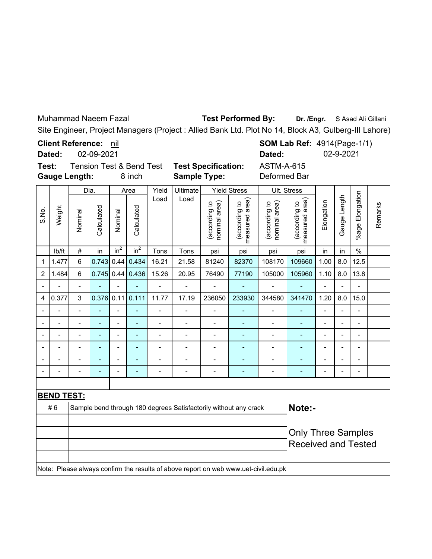Muhammad Naeem Fazal

**Test Performed By:**

Dr. /Engr. S Asad Ali Gillani

Site Engineer, Project Managers (Project : Allied Bank Ltd. Plot No 14, Block A3, Gulberg-III Lahore)

**Client Reference:** nil

**SOM Lab Ref: 4914(Page-1/1) Dated:** 02-9-2021

ASTM-A-615

02-09-2021 **Dated:**

**Test:** Tension Test & Bend Test **Test Specification: Gauge Length:**

8 inch **Sample Type:** Deformed Bar

|                |                          | Dia.           |                          |                          | Area           | Yield                                                            | Ultimate |                                | <b>Yield Stress</b>                | Ult. Stress                    |                                 |                |                |                          |         |
|----------------|--------------------------|----------------|--------------------------|--------------------------|----------------|------------------------------------------------------------------|----------|--------------------------------|------------------------------------|--------------------------------|---------------------------------|----------------|----------------|--------------------------|---------|
| S.No.          | Weight                   | Nominal        | Calculated               | Nominal                  | Calculated     | Load                                                             | Load     | (according to<br>nominal area) | area)<br>(according to<br>measured | (according to<br>nominal area) | measured area)<br>(according to | Elongation     | Gauge Length   | Elongation<br>$%$ age    | Remarks |
|                | lb/ft                    | $\#$           | in                       | in <sup>2</sup>          | $in^2$         | Tons                                                             | Tons     | psi                            | psi                                | psi                            | psi                             | in             | in             | $\%$                     |         |
| 1              | 1.477                    | 6              | 0.743                    | 0.44                     | 0.434          | 16.21                                                            | 21.58    | 81240                          | 82370                              | 108170                         | 109660                          | 1.00           | 8.0            | 12.5                     |         |
| $\overline{2}$ | 1.484                    | $\,6$          | $0.745$ 0.44             |                          | 0.436          | 15.26                                                            | 20.95    | 76490                          | 77190                              | 105000                         | 105960                          | 1.10           | 8.0            | 13.8                     |         |
|                |                          | -              |                          |                          |                | $\qquad \qquad \blacksquare$                                     |          |                                | ÷                                  | $\qquad \qquad \blacksquare$   | ٠                               | -              |                | $\overline{\phantom{a}}$ |         |
| 4              | 0.377                    | $\mathsf 3$    | 0.376                    | 0.11                     | 0.111          | 11.77                                                            | 17.19    | 236050                         | 233930                             | 344580                         | 341470                          | 1.20           | 8.0            | 15.0                     |         |
|                |                          |                |                          |                          |                |                                                                  |          |                                |                                    |                                |                                 |                |                |                          |         |
|                | $\overline{\phantom{0}}$ | $\overline{a}$ | $\overline{\phantom{0}}$ | $\overline{\phantom{a}}$ | $\overline{a}$ | $\blacksquare$                                                   |          | $\blacksquare$                 | ۰                                  | $\blacksquare$                 | ٠                               | $\blacksquare$ | $\blacksquare$ | $\blacksquare$           |         |
|                |                          |                |                          |                          |                |                                                                  |          |                                |                                    |                                |                                 |                |                |                          |         |
|                |                          |                |                          |                          |                |                                                                  |          |                                | ÷                                  |                                |                                 | $\blacksquare$ |                | $\blacksquare$           |         |
|                |                          |                |                          |                          |                |                                                                  |          |                                |                                    |                                |                                 |                |                |                          |         |
|                |                          |                |                          | $\blacksquare$           |                |                                                                  |          |                                |                                    | $\blacksquare$                 | -                               | $\blacksquare$ |                | $\overline{a}$           |         |
|                |                          |                |                          |                          |                |                                                                  |          |                                |                                    |                                |                                 |                |                |                          |         |
|                | <u>BEND TEST:</u>        |                |                          |                          |                |                                                                  |          |                                |                                    |                                |                                 |                |                |                          |         |
|                | #6                       |                |                          |                          |                | Sample bend through 180 degrees Satisfactorily without any crack |          | Note:-                         |                                    |                                |                                 |                |                |                          |         |
|                |                          |                |                          |                          |                |                                                                  |          |                                |                                    |                                |                                 |                |                |                          |         |
|                |                          |                |                          |                          |                |                                                                  |          | <b>Only Three Samples</b>      |                                    |                                |                                 |                |                |                          |         |
|                |                          |                |                          |                          |                |                                                                  |          |                                |                                    |                                | <b>Received and Tested</b>      |                |                |                          |         |

Note: Please always confirm the results of above report on web www.uet-civil.edu.pk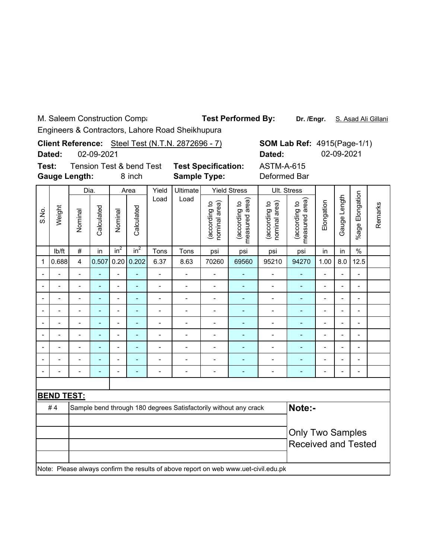M. Saleem Construction Compa

Test Performed By: Dr. /Engr. S. Asad Ali Gillani

Engineers & Contractors, Lahore Road Sheikhupura

|                          | Dated:                                                                                                                                     |                          | 02-09-2021     |                          |                                               |                              | Client Reference: Steel Test (N.T.N. 2872696 - 7)                |                                |                                 | Dated:                                                                              | <b>SOM Lab Ref: 4915(Page-1/1)</b> |                          | 02-09-2021     |                 |         |
|--------------------------|--------------------------------------------------------------------------------------------------------------------------------------------|--------------------------|----------------|--------------------------|-----------------------------------------------|------------------------------|------------------------------------------------------------------|--------------------------------|---------------------------------|-------------------------------------------------------------------------------------|------------------------------------|--------------------------|----------------|-----------------|---------|
| Test:                    | <b>Gauge Length:</b>                                                                                                                       |                          |                |                          | <b>Tension Test &amp; bend Test</b><br>8 inch |                              | <b>Test Specification:</b><br><b>Sample Type:</b>                |                                |                                 | <b>ASTM-A-615</b><br>Deformed Bar                                                   |                                    |                          |                |                 |         |
|                          |                                                                                                                                            | Dia.                     |                |                          | Area                                          | Yield                        | Ultimate                                                         |                                | <b>Yield Stress</b>             |                                                                                     | Ult. Stress                        |                          |                |                 |         |
| S.No.                    | Weight                                                                                                                                     | Nominal                  | Calculated     | Nominal                  | Calculated                                    | Load                         | Load                                                             | (according to<br>nominal area) | measured area)<br>(according to | (according to<br>nominal area)                                                      | measured area)<br>(according to    | Elongation               | Gauge Length   | %age Elongation | Remarks |
|                          | lb/ft                                                                                                                                      | $\#$                     | in             | $in^2$                   | in <sup>2</sup>                               | Tons                         | Tons                                                             | psi                            | psi                             | psi                                                                                 | psi                                | in                       | in             | $\%$            |         |
| 1                        | 0.688                                                                                                                                      | $\overline{\mathbf{4}}$  | 0.507          | 0.20                     | 0.202                                         | 6.37                         | 8.63                                                             | 70260                          | 69560                           | 95210                                                                               | 94270                              | 1.00                     | 8.0            | 12.5            |         |
|                          |                                                                                                                                            | $\blacksquare$           | $\blacksquare$ | ä,                       | $\overline{\phantom{0}}$                      | ÷                            | $\overline{\phantom{0}}$                                         | $\overline{a}$                 | $\overline{a}$                  |                                                                                     |                                    |                          |                |                 |         |
|                          | $\overline{\phantom{0}}$<br>÷,<br>$\overline{\phantom{0}}$<br>$\overline{a}$<br>$\overline{\phantom{0}}$<br>$\overline{\phantom{0}}$<br>÷, |                          |                |                          |                                               |                              |                                                                  |                                |                                 |                                                                                     | -                                  | $\overline{\phantom{0}}$ | Ĭ.             | $\blacksquare$  |         |
|                          | Ĭ.                                                                                                                                         | $\overline{a}$           | ٠              | $\overline{a}$           | ÷,                                            | $\qquad \qquad \blacksquare$ | ÷,                                                               | $\overline{\phantom{0}}$       | $\overline{a}$                  | $\overline{\phantom{0}}$                                                            |                                    |                          |                |                 |         |
| $\overline{\phantom{a}}$ | $\blacksquare$                                                                                                                             | $\overline{\phantom{0}}$ | ٠              | $\overline{\phantom{0}}$ | -                                             | $\blacksquare$               | -                                                                | ÷                              | ٠                               | -                                                                                   | -                                  | $\overline{\phantom{0}}$ | $\blacksquare$ | $\blacksquare$  |         |
|                          |                                                                                                                                            |                          |                | $\overline{a}$           | $\overline{a}$                                | $\overline{a}$               | $\overline{a}$                                                   | $\overline{a}$                 | L,                              | $\overline{a}$                                                                      | L,                                 | $\overline{a}$           |                | $\overline{a}$  |         |
|                          | $\overline{\phantom{a}}$                                                                                                                   | $\overline{a}$           | $\blacksquare$ | $\overline{a}$           | ä,                                            | $\overline{a}$               | $\overline{\phantom{a}}$                                         | $\overline{\phantom{0}}$       | $\qquad \qquad \blacksquare$    | $\overline{\phantom{a}}$                                                            | ÷,                                 | $\overline{\phantom{0}}$ | $\overline{a}$ | $\overline{a}$  |         |
| $\blacksquare$           | $\blacksquare$                                                                                                                             | $\overline{\phantom{0}}$ | ٠              | $\overline{a}$           | ÷,                                            | $\qquad \qquad \blacksquare$ | $\overline{\phantom{0}}$                                         | $\overline{a}$                 | $\overline{\phantom{a}}$        | -                                                                                   | -                                  | $\overline{\phantom{0}}$ | $\blacksquare$ | $\overline{a}$  |         |
|                          |                                                                                                                                            |                          |                | $\blacksquare$           | ۳                                             |                              |                                                                  |                                | ۳                               | $\overline{a}$                                                                      | ÷                                  | $\overline{a}$           |                | $\blacksquare$  |         |
|                          |                                                                                                                                            | $\overline{a}$           | Ē,             | $\overline{a}$           | L,                                            | $\overline{a}$               | $\overline{\phantom{a}}$                                         | $\overline{a}$                 | ÷,                              | $\overline{a}$                                                                      | ä,                                 | $\overline{a}$           |                | $\overline{a}$  |         |
|                          |                                                                                                                                            |                          |                |                          |                                               |                              |                                                                  |                                |                                 |                                                                                     |                                    |                          |                |                 |         |
|                          | <b>BEND TEST:</b>                                                                                                                          |                          |                |                          |                                               |                              |                                                                  |                                |                                 |                                                                                     |                                    |                          |                |                 |         |
|                          | #4                                                                                                                                         |                          |                |                          |                                               |                              | Sample bend through 180 degrees Satisfactorily without any crack |                                |                                 |                                                                                     | Note:-                             |                          |                |                 |         |
|                          |                                                                                                                                            |                          |                |                          |                                               |                              |                                                                  |                                |                                 |                                                                                     |                                    |                          |                |                 |         |
|                          |                                                                                                                                            |                          |                |                          |                                               |                              |                                                                  |                                |                                 |                                                                                     | <b>Only Two Samples</b>            |                          |                |                 |         |
|                          |                                                                                                                                            |                          |                |                          |                                               |                              |                                                                  |                                |                                 |                                                                                     | <b>Received and Tested</b>         |                          |                |                 |         |
|                          |                                                                                                                                            |                          |                |                          |                                               |                              |                                                                  |                                |                                 | Note: Please always confirm the results of above report on web www.uet-civil.edu.pk |                                    |                          |                |                 |         |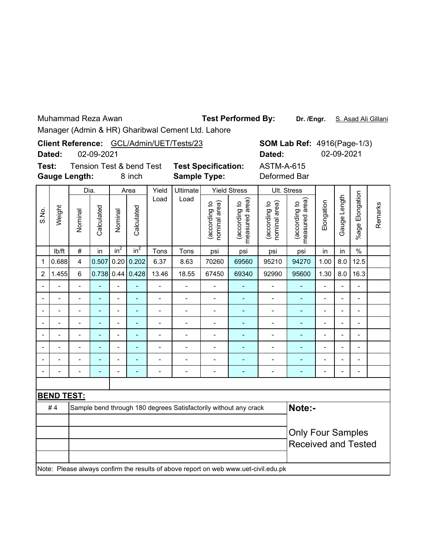Test Performed By: Dr. /Engr. S. Asad Ali Gillani

|                                                                                                                                                              | Dated:               |                | 02-09-2021               |                |                                    |                              | Client Reference: GCL/Admin/UET/Tests/23                         |                                |                                 | Dated:                                                                              | <b>SOM Lab Ref: 4916(Page-1/3)</b> |                          | 02-09-2021               |                          |         |
|--------------------------------------------------------------------------------------------------------------------------------------------------------------|----------------------|----------------|--------------------------|----------------|------------------------------------|------------------------------|------------------------------------------------------------------|--------------------------------|---------------------------------|-------------------------------------------------------------------------------------|------------------------------------|--------------------------|--------------------------|--------------------------|---------|
| Test:                                                                                                                                                        | <b>Gauge Length:</b> |                |                          |                | Tension Test & bend Test<br>8 inch |                              | <b>Test Specification:</b><br><b>Sample Type:</b>                |                                |                                 | <b>ASTM-A-615</b><br>Deformed Bar                                                   |                                    |                          |                          |                          |         |
|                                                                                                                                                              |                      | Dia.           |                          |                | Area                               | Yield                        | <b>Ultimate</b>                                                  |                                | <b>Yield Stress</b>             |                                                                                     | Ult. Stress                        |                          |                          |                          |         |
| S.No.                                                                                                                                                        | Weight               | Nominal        | Calculated               | Nominal        | Calculated                         | Load                         | Load                                                             | (according to<br>nominal area) | measured area)<br>(according to | nominal area)<br>(according to                                                      | measured area)<br>(according to    | Elongation               | Gauge Length             | %age Elongation          | Remarks |
|                                                                                                                                                              | lb/ft                | $\#$           | in                       | $in^2$         | in <sup>2</sup>                    | Tons                         | Tons                                                             | psi                            | psi                             | psi                                                                                 | psi                                | in                       | in                       | $\frac{0}{0}$            |         |
| $\mathbf{1}$                                                                                                                                                 | 0.688                | $\overline{4}$ | 0.507                    | 0.20           | 0.202                              | 6.37                         | 8.63                                                             | 70260                          | 69560                           | 95210                                                                               | 94270                              | 1.00                     | 8.0                      | 12.5                     |         |
| $\overline{2}$                                                                                                                                               | 1.455                | 6              | $0.738$ 0.44             |                | 0.428                              | 13.46                        | 18.55                                                            | 67450                          | 69340                           | 92990                                                                               | 95600                              | 1.30                     | 8.0                      | 16.3                     |         |
|                                                                                                                                                              |                      |                |                          | $\overline{a}$ | L,                                 | $\overline{a}$               |                                                                  |                                |                                 | $\overline{a}$                                                                      | L,                                 | $\overline{a}$           | $\overline{a}$           | $\overline{\phantom{a}}$ |         |
| $\overline{a}$<br>$\overline{a}$<br>$\overline{a}$<br>$\overline{a}$<br>$\blacksquare$<br>$\blacksquare$<br>$\overline{a}$<br>$\overline{\phantom{a}}$<br>÷, |                      |                |                          |                |                                    |                              |                                                                  |                                |                                 | $\qquad \qquad \blacksquare$                                                        | $\overline{\phantom{a}}$           | $\overline{a}$           | $\overline{a}$           | $\overline{a}$           |         |
| $\overline{a}$<br>$\overline{a}$<br>$\overline{a}$<br>$\blacksquare$<br>-<br>$\overline{\phantom{0}}$<br>L,<br>$\overline{\phantom{0}}$<br>÷,                |                      |                |                          |                |                                    |                              |                                                                  |                                |                                 |                                                                                     | ٠                                  | $\overline{\phantom{0}}$ | $\overline{\phantom{0}}$ | $\overline{\phantom{a}}$ |         |
|                                                                                                                                                              |                      | $\overline{a}$ |                          |                | ä,                                 | $\blacksquare$               | $\overline{a}$                                                   | $\overline{a}$                 | ÷,                              | $\overline{a}$                                                                      | ٠                                  | $\overline{a}$           |                          | $\blacksquare$           |         |
|                                                                                                                                                              | L,                   | $\overline{a}$ | $\overline{\phantom{a}}$ | $\overline{a}$ | $\blacksquare$                     | $\qquad \qquad \blacksquare$ | $\blacksquare$                                                   | $\overline{\phantom{0}}$       | ÷,                              | $\qquad \qquad \blacksquare$                                                        | $\overline{\phantom{a}}$           | $\overline{a}$           | $\blacksquare$           | $\blacksquare$           |         |
|                                                                                                                                                              |                      |                |                          | $\overline{a}$ |                                    | $\overline{a}$               |                                                                  |                                |                                 | $\overline{a}$                                                                      |                                    | $\overline{a}$           |                          | $\blacksquare$           |         |
|                                                                                                                                                              | $\overline{a}$       | $\overline{a}$ |                          | $\overline{a}$ | $\overline{\phantom{a}}$           | $\overline{a}$               | $\overline{\phantom{0}}$                                         | $\overline{\phantom{0}}$       | ÷,                              | $\overline{a}$                                                                      | ÷,                                 | $\overline{\phantom{0}}$ |                          | $\blacksquare$           |         |
|                                                                                                                                                              | $\overline{a}$       | $\overline{a}$ | $\overline{\phantom{a}}$ | $\overline{a}$ | $\blacksquare$                     | -                            | $\blacksquare$                                                   | $\overline{\phantom{0}}$       | ۰                               | $\qquad \qquad \blacksquare$                                                        | ÷                                  | $\overline{a}$           |                          | $\frac{1}{2}$            |         |
|                                                                                                                                                              |                      |                |                          |                |                                    |                              |                                                                  |                                |                                 |                                                                                     |                                    |                          |                          |                          |         |
|                                                                                                                                                              | <b>BEND TEST:</b>    |                |                          |                |                                    |                              |                                                                  |                                |                                 |                                                                                     |                                    |                          |                          |                          |         |
|                                                                                                                                                              | #4                   |                |                          |                |                                    |                              | Sample bend through 180 degrees Satisfactorily without any crack |                                |                                 |                                                                                     | Note:-                             |                          |                          |                          |         |
|                                                                                                                                                              |                      |                |                          |                |                                    |                              |                                                                  |                                |                                 |                                                                                     |                                    |                          |                          |                          |         |
|                                                                                                                                                              |                      |                |                          |                |                                    |                              |                                                                  |                                |                                 |                                                                                     | <b>Only Four Samples</b>           |                          |                          |                          |         |
|                                                                                                                                                              |                      |                |                          |                |                                    |                              |                                                                  |                                |                                 |                                                                                     | <b>Received and Tested</b>         |                          |                          |                          |         |
|                                                                                                                                                              |                      |                |                          |                |                                    |                              |                                                                  |                                |                                 | Note: Please always confirm the results of above report on web www.uet-civil.edu.pk |                                    |                          |                          |                          |         |
|                                                                                                                                                              |                      |                |                          |                |                                    |                              |                                                                  |                                |                                 |                                                                                     |                                    |                          |                          |                          |         |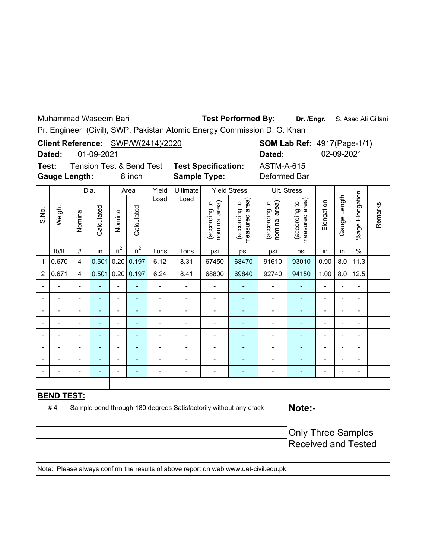Muhammad Waseem Bari

**Dr. /Engr.** S. Asad Ali Gillani **Test Performed By:**

Pr. Engineer (Civil), SWP, Pakistan Atomic Energy Commission D. G. Khan

|                                                                                                                                                                                                                                |                                                    |                      |            |                          |                                               |                                    |                                                                  |                                   |                                 | Pr. Engineer (Civil), SWP, Pakistan Atomic Energy Commission D. G. Khan             |                                    |                          |                          |                           |         |
|--------------------------------------------------------------------------------------------------------------------------------------------------------------------------------------------------------------------------------|----------------------------------------------------|----------------------|------------|--------------------------|-----------------------------------------------|------------------------------------|------------------------------------------------------------------|-----------------------------------|---------------------------------|-------------------------------------------------------------------------------------|------------------------------------|--------------------------|--------------------------|---------------------------|---------|
|                                                                                                                                                                                                                                | Dated:                                             |                      | 01-09-2021 |                          |                                               | Client Reference: SWP/W(2414)/2020 |                                                                  |                                   |                                 | Dated:                                                                              | <b>SOM Lab Ref: 4917(Page-1/1)</b> |                          | 02-09-2021               |                           |         |
| Test:                                                                                                                                                                                                                          |                                                    | <b>Gauge Length:</b> |            |                          | <b>Tension Test &amp; Bend Test</b><br>8 inch |                                    | <b>Test Specification:</b><br><b>Sample Type:</b>                |                                   |                                 | <b>ASTM-A-615</b><br>Deformed Bar                                                   |                                    |                          |                          |                           |         |
|                                                                                                                                                                                                                                |                                                    | Dia.                 |            |                          | Area                                          | Yield                              | Ultimate                                                         |                                   | <b>Yield Stress</b>             |                                                                                     | Ult. Stress                        |                          |                          |                           |         |
| S.No.                                                                                                                                                                                                                          | Weight                                             | Nominal              | Calculated | Nominal                  | Calculated                                    | Load                               | Load                                                             | (according to<br>area)<br>hominal | measured area)<br>(according to | (according to<br>nominal area)                                                      | measured area)<br>(according to    | Elongation               | Gauge Length             | Elongation<br>$%$ age $ $ | Remarks |
|                                                                                                                                                                                                                                | lb/ft                                              | #                    | in         | in <sup>2</sup>          | in <sup>2</sup>                               | Tons                               | Tons                                                             | psi                               | psi                             | psi                                                                                 | psi                                | in                       | in                       | $\%$                      |         |
| $\mathbf 1$                                                                                                                                                                                                                    | 0.670                                              | $\overline{4}$       | 0.501      | 0.20                     | 0.197                                         | 6.12                               | 8.31                                                             | 67450                             | 68470                           | 91610                                                                               | 93010                              | 0.90                     | 8.0                      | 11.3                      |         |
| 2                                                                                                                                                                                                                              | 0.671                                              | 4                    | 0.501      | 0.20                     | 0.197                                         | 6.24                               | 8.41                                                             | 68800                             | 69840                           | 92740                                                                               | 94150                              | 1.00                     | 8.0                      | 12.5                      |         |
|                                                                                                                                                                                                                                | $\overline{a}$<br>$\overline{a}$<br>$\overline{a}$ |                      |            |                          |                                               |                                    |                                                                  |                                   |                                 |                                                                                     |                                    |                          |                          |                           |         |
| $\overline{a}$<br>$\overline{a}$<br>$\overline{a}$<br>ä,<br>$\overline{\phantom{0}}$<br>$\qquad \qquad \blacksquare$<br>$\blacksquare$<br>$\qquad \qquad \blacksquare$<br>$\overline{\phantom{a}}$<br>$\overline{\phantom{0}}$ |                                                    |                      |            |                          |                                               |                                    |                                                                  |                                   |                                 |                                                                                     |                                    |                          |                          |                           |         |
|                                                                                                                                                                                                                                | $\blacksquare$                                     | $\overline{a}$       | ÷          | $\blacksquare$           | $\blacksquare$                                | $\overline{a}$                     | $\blacksquare$                                                   | $\blacksquare$                    | ۰                               | $\blacksquare$                                                                      | ٠                                  | $\blacksquare$           | L,                       | $\overline{a}$            |         |
|                                                                                                                                                                                                                                | $\overline{a}$                                     | $\overline{a}$       | L,         | $\overline{a}$           | $\blacksquare$                                | -                                  | $\overline{\phantom{0}}$                                         | $\overline{\phantom{a}}$          | ۰                               | $\overline{a}$                                                                      | ٠                                  | $\overline{\phantom{0}}$ | $\overline{a}$           | $\overline{a}$            |         |
|                                                                                                                                                                                                                                | $\overline{a}$                                     | L.                   | L,         | $\overline{\phantom{0}}$ | $\blacksquare$                                | $\overline{a}$                     | $\overline{\phantom{0}}$                                         | $\blacksquare$                    | ۰                               | $\overline{a}$                                                                      | $\overline{a}$                     | $\overline{\phantom{a}}$ | $\overline{\phantom{a}}$ | $\overline{a}$            |         |
|                                                                                                                                                                                                                                | $\overline{a}$                                     | $\overline{a}$       |            | $\overline{a}$           | ÷,                                            | $\overline{\phantom{0}}$           | $\overline{\phantom{a}}$                                         | $\overline{\phantom{a}}$          | ÷,                              | $\overline{\phantom{0}}$                                                            | ÷,                                 | $\overline{a}$           | $\overline{a}$           | $\overline{a}$            |         |
|                                                                                                                                                                                                                                |                                                    | $\overline{a}$       |            | $\overline{a}$           | ÷,                                            | $\overline{a}$                     | $\overline{a}$                                                   | $\blacksquare$                    | ÷,                              | $\overline{a}$                                                                      | ÷,                                 | $\blacksquare$           | Ĭ.                       | $\overline{a}$            |         |
|                                                                                                                                                                                                                                |                                                    |                      |            |                          |                                               | $\overline{a}$                     |                                                                  | $\overline{\phantom{0}}$          |                                 |                                                                                     |                                    |                          |                          |                           |         |
|                                                                                                                                                                                                                                |                                                    |                      |            |                          |                                               |                                    |                                                                  |                                   |                                 |                                                                                     |                                    |                          |                          |                           |         |
|                                                                                                                                                                                                                                | <b>BEND TEST:</b>                                  |                      |            |                          |                                               |                                    |                                                                  |                                   |                                 |                                                                                     |                                    |                          |                          |                           |         |
|                                                                                                                                                                                                                                | #4                                                 |                      |            |                          |                                               |                                    | Sample bend through 180 degrees Satisfactorily without any crack |                                   |                                 |                                                                                     | Note:-                             |                          |                          |                           |         |
|                                                                                                                                                                                                                                |                                                    |                      |            |                          |                                               |                                    |                                                                  |                                   |                                 |                                                                                     |                                    |                          |                          |                           |         |
|                                                                                                                                                                                                                                |                                                    |                      |            |                          |                                               |                                    |                                                                  |                                   |                                 |                                                                                     | <b>Only Three Samples</b>          |                          |                          |                           |         |
|                                                                                                                                                                                                                                |                                                    |                      |            |                          |                                               |                                    |                                                                  |                                   |                                 |                                                                                     | <b>Received and Tested</b>         |                          |                          |                           |         |
|                                                                                                                                                                                                                                |                                                    |                      |            |                          |                                               |                                    |                                                                  |                                   |                                 | Note: Please always confirm the results of above report on web www.uet-civil.edu.pk |                                    |                          |                          |                           |         |
|                                                                                                                                                                                                                                |                                                    |                      |            |                          |                                               |                                    |                                                                  |                                   |                                 |                                                                                     |                                    |                          |                          |                           |         |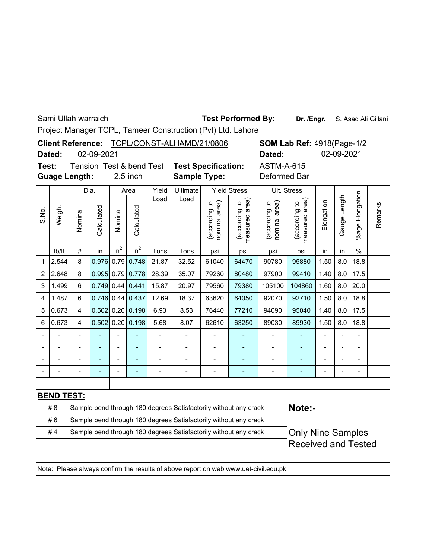Sami Ullah warraich

# **Test Performed By:**

Dr. /Engr. S. Asad Ali Gillani

Project Manager TCPL, Tameer Construction (Pvt) Ltd. Lahore

|       |        |                      | Client Reference: TCPL/CONST-ALHAMD/21/0806 |       |                                                   |                     | <b>SOM Lab Ref: 4918(Page-1/2)</b> |             |            |  |  |
|-------|--------|----------------------|---------------------------------------------|-------|---------------------------------------------------|---------------------|------------------------------------|-------------|------------|--|--|
|       | Dated: | 02-09-2021           |                                             |       |                                                   |                     | Dated:                             |             | 02-09-2021 |  |  |
| Test: |        | <b>Guage Length:</b> | Tension Test & bend Test<br>$2.5$ inch      |       | <b>Test Specification:</b><br><b>Sample Type:</b> |                     | <b>ASTM-A-615</b><br>Deformed Bar  |             |            |  |  |
| Dia.  |        |                      | Area                                        | Yield | <b>Ultimate</b>                                   | <b>Yield Stress</b> |                                    | Ult. Stress |            |  |  |
|       |        |                      | Load                                        | Load  | $\widehat{m}$                                     |                     | $\widehat{\pi}$                    |             | tion       |  |  |

|                |                   | υıα.           |                |                | ы∽ч                |                | <b>UNINGIO</b> |                                  | נוטוט טווטו                                                                         |                                   | ບແ. ບແບວວ                          |            |                |                          |         |
|----------------|-------------------|----------------|----------------|----------------|--------------------|----------------|----------------|----------------------------------|-------------------------------------------------------------------------------------|-----------------------------------|------------------------------------|------------|----------------|--------------------------|---------|
| S.No.          | Weight            | Nominal        | Calculated     | Nominal        | Calculated         | Load           | Load           | according to<br>area)<br>hominal | area)<br>(according to<br>measured                                                  | (according to<br>area)<br>nominal | area)<br>(according to<br>measured | Elongation | Gauge Length   | Elongation<br>%age I     | Remarks |
|                | Ib/ft             | #              | in             | $in^2$         | $in^2$             | Tons           | Tons           | psi                              | psi                                                                                 | psi                               | psi                                | in         | in             | $\frac{0}{0}$            |         |
| 1              | 2.544             | 8              | 0.976          | 0.79           | 0.748              | 21.87          | 32.52          | 61040                            | 64470                                                                               | 90780                             | 95880                              | 1.50       | 8.0            | 18.8                     |         |
| $\overline{c}$ | 2.648             | 8              |                |                | 0.995 0.79 0.778   | 28.39          | 35.07          | 79260                            | 80480                                                                               | 97900                             | 99410                              | 1.40       | 8.0            | 17.5                     |         |
| 3              | 1.499             | 6              |                |                | $0.749$ 0.44 0.441 | 15.87          | 20.97          | 79560                            | 79380                                                                               | 105100                            | 104860                             | 1.60       | 8.0            | 20.0                     |         |
| 4              | 1.487             | 6              |                |                | $0.746$ 0.44 0.437 | 12.69          | 18.37          | 63620                            | 64050                                                                               | 92070                             | 92710                              | 1.50       | 8.0            | 18.8                     |         |
| 5              | 0.673             | 4              |                |                | $0.502$ 0.20 0.198 | 6.93           | 8.53           | 76440                            | 77210                                                                               | 94090                             | 95040                              | 1.40       | 8.0            | 17.5                     |         |
| 6              | 0.673             | $\overline{4}$ | 0.502          | 0.20           | 0.198              | 5.68           | 8.07           | 62610                            | 63250                                                                               | 89030                             | 89930                              | 1.50       | 8.0            | 18.8                     |         |
|                |                   |                |                |                |                    |                |                |                                  |                                                                                     |                                   |                                    |            |                |                          |         |
|                |                   |                |                |                |                    | $\overline{a}$ |                |                                  |                                                                                     |                                   |                                    |            |                | ۰                        |         |
|                |                   |                | $\overline{a}$ | $\overline{a}$ | ۳                  |                |                |                                  |                                                                                     |                                   |                                    |            | $\blacksquare$ | ۰                        |         |
|                |                   |                |                | $\overline{a}$ |                    | $\overline{a}$ |                | $\blacksquare$                   |                                                                                     |                                   |                                    |            | $\overline{a}$ | $\overline{\phantom{0}}$ |         |
|                |                   |                |                |                |                    |                |                |                                  |                                                                                     |                                   |                                    |            |                |                          |         |
|                | <b>BEND TEST:</b> |                |                |                |                    |                |                |                                  |                                                                                     |                                   |                                    |            |                |                          |         |
|                | #8                |                |                |                |                    |                |                |                                  | Sample bend through 180 degrees Satisfactorily without any crack                    |                                   | Note:-                             |            |                |                          |         |
|                | #6                |                |                |                |                    |                |                |                                  | Sample bend through 180 degrees Satisfactorily without any crack                    |                                   |                                    |            |                |                          |         |
|                | #4                |                |                |                |                    |                |                |                                  | Sample bend through 180 degrees Satisfactorily without any crack                    |                                   | <b>Only Nine Samples</b>           |            |                |                          |         |
|                |                   |                |                |                |                    |                |                |                                  |                                                                                     |                                   | <b>Received and Tested</b>         |            |                |                          |         |
|                |                   |                |                |                |                    |                |                |                                  |                                                                                     |                                   |                                    |            |                |                          |         |
|                |                   |                |                |                |                    |                |                |                                  | Note: Please always confirm the results of above report on web www.uet-civil.edu.pk |                                   |                                    |            |                |                          |         |